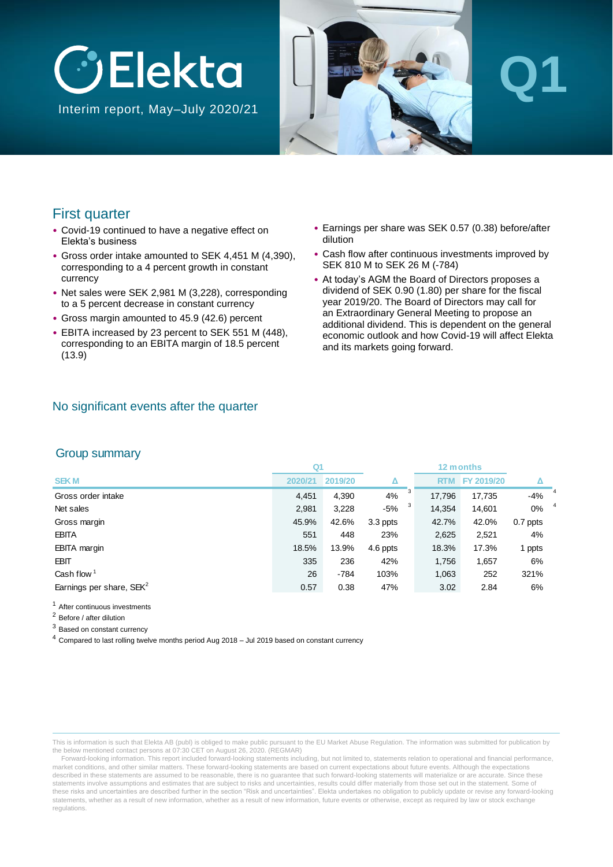

Interim report, May–July 2020/21



# **Q1**

#### First quarter

- Covid-19 continued to have a negative effect on Elekta's business
- Gross order intake amounted to SEK 4,451 M (4,390), corresponding to a 4 percent growth in constant currency
- Net sales were SEK 2,981 M (3,228), corresponding to a 5 percent decrease in constant currency
- Gross margin amounted to 45.9 (42.6) percent
- EBITA increased by 23 percent to SEK 551 M (448), corresponding to an EBITA margin of 18.5 percent (13.9)
- Earnings per share was SEK 0.57 (0.38) before/after dilution
- Cash flow after continuous investments improved by SEK 810 M to SEK 26 M (-784)
- At today's AGM the Board of Directors proposes a dividend of SEK 0.90 (1.80) per share for the fiscal year 2019/20. The Board of Directors may call for an Extraordinary General Meeting to propose an additional dividend. This is dependent on the general economic outlook and how Covid-19 will affect Elekta and its markets going forward.

#### No significant events after the quarter

#### Group summary

|                             | Q1      |         |          | 12 months  |            |          |                |
|-----------------------------|---------|---------|----------|------------|------------|----------|----------------|
| <b>SEKM</b>                 | 2020/21 | 2019/20 |          | <b>RTM</b> | FY 2019/20 |          |                |
| Gross order intake          | 4.451   | 4,390   | 3<br>4%  | 17.796     | 17,735     | $-4%$    | 4              |
| Net sales                   | 2,981   | 3,228   | -5%      | 14,354     | 14,601     | $0\%$    | $\overline{4}$ |
| Gross margin                | 45.9%   | 42.6%   | 3.3 ppts | 42.7%      | 42.0%      | 0.7 ppts |                |
| <b>EBITA</b>                | 551     | 448     | 23%      | 2,625      | 2,521      | 4%       |                |
| <b>EBITA</b> margin         | 18.5%   | 13.9%   | 4.6 ppts | 18.3%      | 17.3%      | 1 ppts   |                |
| <b>EBIT</b>                 | 335     | 236     | 42%      | 1,756      | 1,657      | 6%       |                |
| Cash flow $1$               | 26      | $-784$  | 103%     | 1,063      | 252        | 321%     |                |
| Earnings per share, $SEK^2$ | 0.57    | 0.38    | 47%      | 3.02       | 2.84       | 6%       |                |

<sup>1</sup> After continuous investments

<sup>2</sup> Before / after dilution

<sup>3</sup> Based on constant currency

<sup>4</sup> Compared to last rolling twelve months period Aug 2018 – Jul 2019 based on constant currency

This is information is such that Elekta AB (publ) is obliged to make public pursuant to the EU Market Abuse Regulation. The information was submitted for publication by the below mentioned contact persons at 07:30 CET on August 26, 2020. (REGMAR)

Forward-looking information. This report included forward-looking statements including, but not limited to, statements relation to operational and financial performance, market conditions, and other similar matters. These forward-looking statements are based on current expectations about future events. Although the expectations described in these statements are assumed to be reasonable, there is no quarantee that such forward-looking statements will materialize or are accurate. Since these statements involve assumptions and estimates that are subject to risks and uncertainties, results could differ materially from those set out in the statement. Some of these risks and uncertainties are described further in the section "Risk and uncertainties". Elekta undertakes no obligation to publicly update or revise any forward-looking statements, whether as a result of new information, whether as a result of new information, future events or otherwise, except as required by law or stock exchange regulations.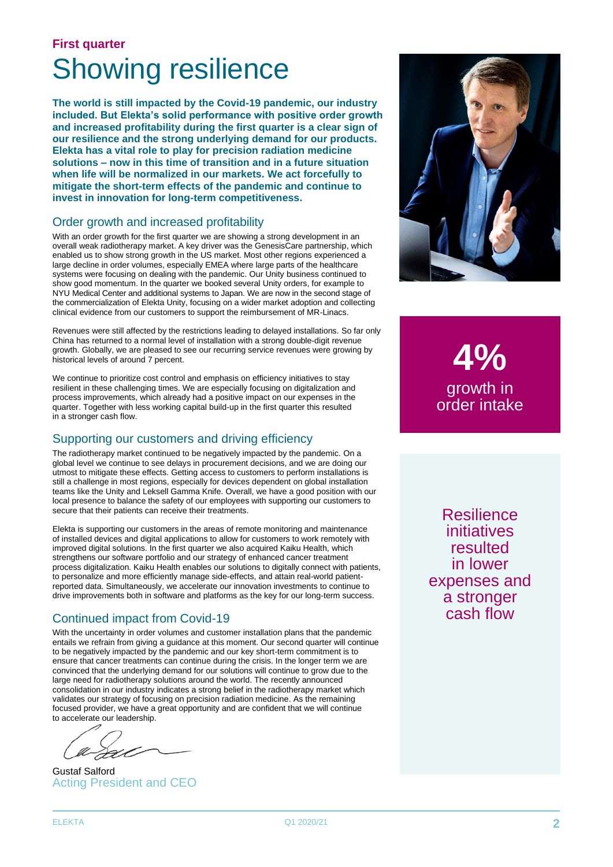### **First quarter** Showing resilience

**The world is still impacted by the Covid-19 pandemic, our industry included. But Elekta's solid performance with positive order growth and increased profitability during the first quarter is a clear sign of our resilience and the strong underlying demand for our products. Elekta has a vital role to play for precision radiation medicine solutions – now in this time of transition and in a future situation when life will be normalized in our markets. We act forcefully to mitigate the short-term effects of the pandemic and continue to invest in innovation for long-term competitiveness.**

#### Order growth and increased profitability

With an order growth for the first quarter we are showing a strong development in an overall weak radiotherapy market. A key driver was the GenesisCare partnership, which enabled us to show strong growth in the US market. Most other regions experienced a large decline in order volumes, especially EMEA where large parts of the healthcare systems were focusing on dealing with the pandemic. Our Unity business continued to show good momentum. In the quarter we booked several Unity orders, for example to NYU Medical Center and additional systems to Japan. We are now in the second stage of the commercialization of Elekta Unity, focusing on a wider market adoption and collecting clinical evidence from our customers to support the reimbursement of MR-Linacs.

Revenues were still affected by the restrictions leading to delayed installations. So far only China has returned to a normal level of installation with a strong double-digit revenue growth. Globally, we are pleased to see our recurring service revenues were growing by historical levels of around 7 percent.

We continue to prioritize cost control and emphasis on efficiency initiatives to stay resilient in these challenging times. We are especially focusing on digitalization and process improvements, which already had a positive impact on our expenses in the quarter. Together with less working capital build-up in the first quarter this resulted in a stronger cash flow.

#### Supporting our customers and driving efficiency

The radiotherapy market continued to be negatively impacted by the pandemic. On a global level we continue to see delays in procurement decisions, and we are doing our utmost to mitigate these effects. Getting access to customers to perform installations is still a challenge in most regions, especially for devices dependent on global installation teams like the Unity and Leksell Gamma Knife. Overall, we have a good position with our local presence to balance the safety of our employees with supporting our customers to secure that their patients can receive their treatments.

Elekta is supporting our customers in the areas of remote monitoring and maintenance of installed devices and digital applications to allow for customers to work remotely with improved digital solutions. In the first quarter we also acquired Kaiku Health, which strengthens our software portfolio and our strategy of enhanced cancer treatment process digitalization. Kaiku Health enables our solutions to digitally connect with patients, to personalize and more efficiently manage side-effects, and attain real-world patientreported data. Simultaneously, we accelerate our innovation investments to continue to drive improvements both in software and platforms as the key for our long-term success.

#### Continued impact from Covid-19

With the uncertainty in order volumes and customer installation plans that the pandemic entails we refrain from giving a guidance at this moment. Our second quarter will continue to be negatively impacted by the pandemic and our key short-term commitment is to ensure that cancer treatments can continue during the crisis. In the longer term we are convinced that the underlying demand for our solutions will continue to grow due to the large need for radiotherapy solutions around the world. The recently announced consolidation in our industry indicates a strong belief in the radiotherapy market which validates our strategy of focusing on precision radiation medicine. As the remaining focused provider, we have a great opportunity and are confident that we will continue to accelerate our leadership.

DZ.

Gustaf Salford Acting President and CEO



**4%** growth in order intake

**Resilience** initiatives resulted in lower expenses and a stronger cash flow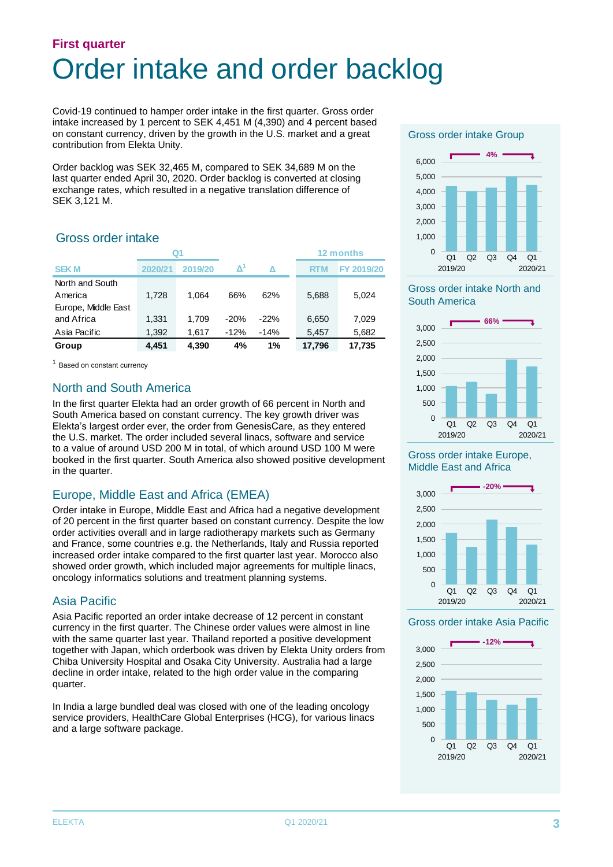### **First quarter** Order intake and order backlog

Covid-19 continued to hamper order intake in the first quarter. Gross order intake increased by 1 percent to SEK 4,451 M (4,390) and 4 percent based on constant currency, driven by the growth in the U.S. market and a great contribution from Elekta Unity.

Order backlog was SEK 32,465 M, compared to SEK 34,689 M on the last quarter ended April 30, 2020. Order backlog is converted at closing exchange rates, which resulted in a negative translation difference of SEK 3,121 M.

#### Gross order intake

|                     | Q1      |         |                      |        |            | 12 months  |
|---------------------|---------|---------|----------------------|--------|------------|------------|
| <b>SEKM</b>         | 2020/21 | 2019/20 | $\mathbf{\Lambda}^1$ | Δ      | <b>RTM</b> | FY 2019/20 |
| North and South     |         |         |                      |        |            |            |
| America             | 1.728   | 1.064   | 66%                  | 62%    | 5,688      | 5.024      |
| Europe, Middle East |         |         |                      |        |            |            |
| and Africa          | 1.331   | 1.709   | $-20%$               | $-22%$ | 6.650      | 7,029      |
| Asia Pacific        | 1,392   | 1,617   | $-12%$               | $-14%$ | 5,457      | 5,682      |
| Group               | 4,451   | 4,390   | 4%                   | 1%     | 17,796     | 17,735     |

<sup>1</sup> Based on constant currency

#### North and South America

In the first quarter Elekta had an order growth of 66 percent in North and South America based on constant currency. The key growth driver was Elekta's largest order ever, the order from GenesisCare, as they entered the U.S. market. The order included several linacs, software and service to a value of around USD 200 M in total, of which around USD 100 M were booked in the first quarter. South America also showed positive development in the quarter.

#### Europe, Middle East and Africa (EMEA)

Order intake in Europe, Middle East and Africa had a negative development of 20 percent in the first quarter based on constant currency. Despite the low order activities overall and in large radiotherapy markets such as Germany and France, some countries e.g. the Netherlands, Italy and Russia reported increased order intake compared to the first quarter last year. Morocco also showed order growth, which included major agreements for multiple linacs, oncology informatics solutions and treatment planning systems.

#### Asia Pacific

Asia Pacific reported an order intake decrease of 12 percent in constant currency in the first quarter. The Chinese order values were almost in line with the same quarter last year. Thailand reported a positive development together with Japan, which orderbook was driven by Elekta Unity orders from Chiba University Hospital and Osaka City University. Australia had a large decline in order intake, related to the high order value in the comparing quarter.

In India a large bundled deal was closed with one of the leading oncology service providers, HealthCare Global Enterprises (HCG), for various linacs and a large software package.

#### Gross order intake Group



#### Gross order intake North and South America



#### Gross order intake Europe, Middle East and Africa



#### Gross order intake Asia Pacific

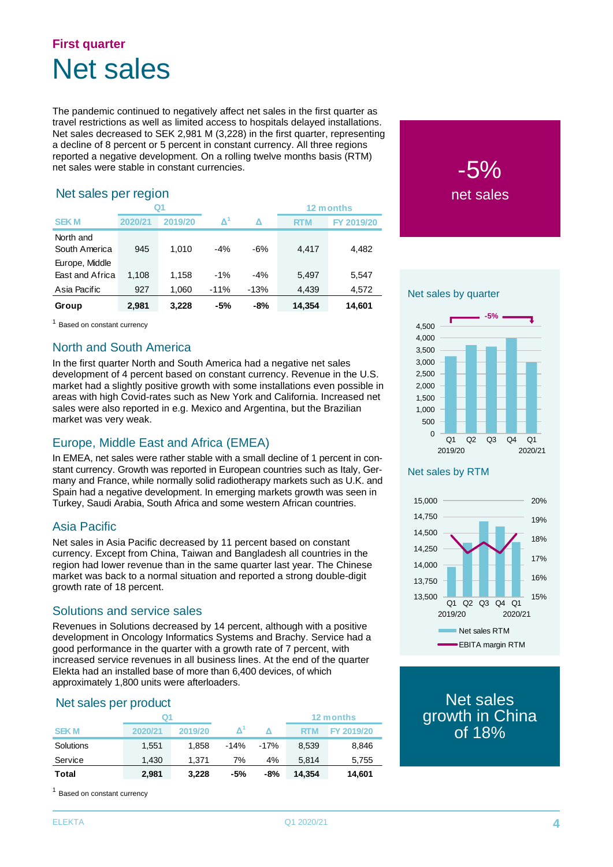### **First quarter** Net sales

The pandemic continued to negatively affect net sales in the first quarter as travel restrictions as well as limited access to hospitals delayed installations. Net sales decreased to SEK 2,981 M (3,228) in the first quarter, representing a decline of 8 percent or 5 percent in constant currency. All three regions reported a negative development. On a rolling twelve months basis (RTM) net sales were stable in constant currencies.

#### Net sales per region

| Net sales per region                                                                                                                                                                                                                                                                                                                                                                                                                                                                                                                                                                                                                                                                                                                                                                                                                                                                                       |         |         |                     |                          |            |            |  |  |
|------------------------------------------------------------------------------------------------------------------------------------------------------------------------------------------------------------------------------------------------------------------------------------------------------------------------------------------------------------------------------------------------------------------------------------------------------------------------------------------------------------------------------------------------------------------------------------------------------------------------------------------------------------------------------------------------------------------------------------------------------------------------------------------------------------------------------------------------------------------------------------------------------------|---------|---------|---------------------|--------------------------|------------|------------|--|--|
|                                                                                                                                                                                                                                                                                                                                                                                                                                                                                                                                                                                                                                                                                                                                                                                                                                                                                                            |         | Q1      |                     |                          |            | 12 months  |  |  |
| <b>SEKM</b>                                                                                                                                                                                                                                                                                                                                                                                                                                                                                                                                                                                                                                                                                                                                                                                                                                                                                                | 2020/21 | 2019/20 | $\mathbf{\Delta}^1$ | Δ                        | <b>RTM</b> | FY 2019/20 |  |  |
| North and                                                                                                                                                                                                                                                                                                                                                                                                                                                                                                                                                                                                                                                                                                                                                                                                                                                                                                  |         |         |                     |                          |            |            |  |  |
| South America                                                                                                                                                                                                                                                                                                                                                                                                                                                                                                                                                                                                                                                                                                                                                                                                                                                                                              | 945     | 1,010   | -4%                 | -6%                      | 4,417      | 4,482      |  |  |
| Europe, Middle                                                                                                                                                                                                                                                                                                                                                                                                                                                                                                                                                                                                                                                                                                                                                                                                                                                                                             |         |         |                     |                          |            |            |  |  |
| East and Africa                                                                                                                                                                                                                                                                                                                                                                                                                                                                                                                                                                                                                                                                                                                                                                                                                                                                                            | 1,108   | 1,158   | $-1%$               | $-4%$                    | 5,497      | 5,547      |  |  |
| Asia Pacific                                                                                                                                                                                                                                                                                                                                                                                                                                                                                                                                                                                                                                                                                                                                                                                                                                                                                               | 927     | 1,060   | $-11%$              | $-13%$                   | 4,439      | 4,572      |  |  |
| Group                                                                                                                                                                                                                                                                                                                                                                                                                                                                                                                                                                                                                                                                                                                                                                                                                                                                                                      | 2,981   | 3,228   | -5%                 | -8%                      | 14,354     | 14,601     |  |  |
| <sup>1</sup> Based on constant currency                                                                                                                                                                                                                                                                                                                                                                                                                                                                                                                                                                                                                                                                                                                                                                                                                                                                    |         |         |                     |                          |            |            |  |  |
|                                                                                                                                                                                                                                                                                                                                                                                                                                                                                                                                                                                                                                                                                                                                                                                                                                                                                                            |         |         |                     |                          |            |            |  |  |
| <b>North and South America</b><br>In the first quarter North and South America had a negative net sales<br>development of 4 percent based on constant currency. Revenue in the U.S.<br>market had a slightly positive growth with some installations even possible in<br>areas with high Covid-rates such as New York and California. Increased net<br>sales were also reported in e.g. Mexico and Argentina, but the Brazilian<br>market was very weak.<br>Europe, Middle East and Africa (EMEA)<br>In EMEA, net sales were rather stable with a small decline of 1 percent in con-<br>stant currency. Growth was reported in European countries such as Italy, Ger-<br>many and France, while normally solid radiotherapy markets such as U.K. and<br>Spain had a negative development. In emerging markets growth was seen in<br>Turkey, Saudi Arabia, South Africa and some western African countries. |         |         |                     |                          |            |            |  |  |
| <b>Asia Pacific</b><br>Net sales in Asia Pacific decreased by 11 percent based on constant<br>currency. Except from China, Taiwan and Bangladesh all countries in the<br>region had lower revenue than in the same quarter last year. The Chinese<br>market was back to a normal situation and reported a strong double-digit<br>growth rate of 18 percent.<br>Solutions and service sales<br>Revenues in Solutions decreased by 14 percent, although with a positive                                                                                                                                                                                                                                                                                                                                                                                                                                      |         |         |                     |                          |            |            |  |  |
| development in Oncology Informatics Systems and Brachy. Service had a<br>good performance in the quarter with a growth rate of 7 percent, with<br>increased service revenues in all business lines. At the end of the quarter<br>Elekta had an installed base of more than 6,400 devices, of which<br>approximately 1,800 units were afterloaders.                                                                                                                                                                                                                                                                                                                                                                                                                                                                                                                                                         |         |         |                     |                          |            |            |  |  |
| Net sales per product                                                                                                                                                                                                                                                                                                                                                                                                                                                                                                                                                                                                                                                                                                                                                                                                                                                                                      |         | Q1      |                     |                          |            | 12 months  |  |  |
| <b>SEKM</b>                                                                                                                                                                                                                                                                                                                                                                                                                                                                                                                                                                                                                                                                                                                                                                                                                                                                                                | 2020/21 | 2019/20 |                     | $\mathbf{\Delta}^1$<br>Δ | <b>RTM</b> | FY 2019/20 |  |  |
| Solutions                                                                                                                                                                                                                                                                                                                                                                                                                                                                                                                                                                                                                                                                                                                                                                                                                                                                                                  | 1,551   | 1,858   | $-14%$              | $-17%$                   | 8,539      | 8,846      |  |  |
| Service                                                                                                                                                                                                                                                                                                                                                                                                                                                                                                                                                                                                                                                                                                                                                                                                                                                                                                    | 1,430   | 1,371   |                     | 7%<br>4%                 | 5,814      | 5,755      |  |  |
| <b>Total</b>                                                                                                                                                                                                                                                                                                                                                                                                                                                                                                                                                                                                                                                                                                                                                                                                                                                                                               | 2,981   | 3,228   |                     | $-8%$<br>-5%             | 14,354     | 14,601     |  |  |
| <sup>1</sup> Based on constant currency                                                                                                                                                                                                                                                                                                                                                                                                                                                                                                                                                                                                                                                                                                                                                                                                                                                                    |         |         |                     |                          |            |            |  |  |

#### North and South America

#### Europe, Middle East and Africa (EMEA)

#### Asia Pacific

#### Solutions and service sales

#### Net sales per product

|             | Q1      |         |        |        | 12 months |            |  |
|-------------|---------|---------|--------|--------|-----------|------------|--|
| <b>SEKM</b> | 2020/21 | 2019/20 |        |        | RTM       | FY 2019/20 |  |
| Solutions   | 1.551   | 1.858   | $-14%$ | $-17%$ | 8.539     | 8,846      |  |
| Service     | 1.430   | 1.371   | 7%     | 4%     | 5.814     | 5,755      |  |
| Total       | 2,981   | 3,228   | -5%    | -8%    | 14,354    | 14,601     |  |

<sup>1</sup> Based on constant currency



#### Net sales by quarter



#### Net sales by RTM



Net sales growth in China of 18%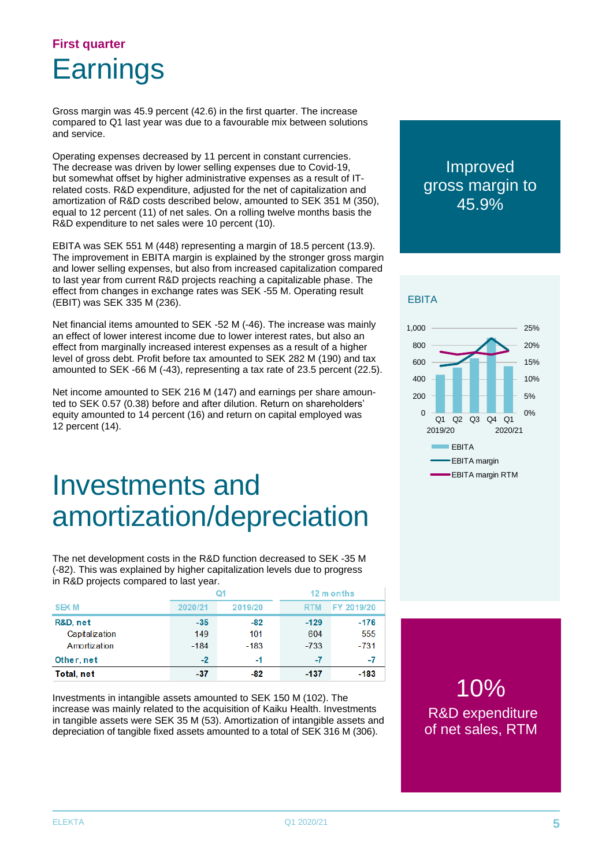### **First quarter Earnings**

Gross margin was 45.9 percent (42.6) in the first quarter. The increase compared to Q1 last year was due to a favourable mix between solutions and service.

Operating expenses decreased by 11 percent in constant currencies. The decrease was driven by lower selling expenses due to Covid-19, but somewhat offset by higher administrative expenses as a result of ITrelated costs. R&D expenditure, adjusted for the net of capitalization and amortization of R&D costs described below, amounted to SEK 351 M (350), equal to 12 percent (11) of net sales. On a rolling twelve months basis the R&D expenditure to net sales were 10 percent (10).

EBITA was SEK 551 M (448) representing a margin of 18.5 percent (13.9). The improvement in EBITA margin is explained by the stronger gross margin and lower selling expenses, but also from increased capitalization compared to last year from current R&D projects reaching a capitalizable phase. The effect from changes in exchange rates was SEK -55 M. Operating result (EBIT) was SEK 335 M (236).

Net financial items amounted to SEK -52 M (-46). The increase was mainly an effect of lower interest income due to lower interest rates, but also an effect from marginally increased interest expenses as a result of a higher level of gross debt. Profit before tax amounted to SEK 282 M (190) and tax amounted to SEK -66 M (-43), representing a tax rate of 23.5 percent (22.5).

Net income amounted to SEK 216 M (147) and earnings per share amounted to SEK 0.57 (0.38) before and after dilution. Return on shareholders' equity amounted to 14 percent (16) and return on capital employed was 12 percent (14).

## Investments and amortization/depreciation

The net development costs in the R&D function decreased to SEK -35 M (-82). This was explained by higher capitalization levels due to progress in R&D projects compared to last year.

|                | Q1      |         | 12 m onths |            |
|----------------|---------|---------|------------|------------|
| <b>SEKM</b>    | 2020/21 | 2019/20 | <b>RTM</b> | FY 2019/20 |
| R&D, net       | $-35$   | $-82$   | $-129$     | $-176$     |
| Capitalization | 149     | 101     | 604        | 555        |
| Amortization   | $-184$  | $-183$  | $-733$     | $-731$     |
| Other, net     | $-2$    | -1      | -7         | -7         |
| Total, net     | $-37$   | -82     | $-137$     | $-183$     |

Investments in intangible assets amounted to SEK 150 M (102). The increase was mainly related to the acquisition of Kaiku Health. Investments in tangible assets were SEK 35 M (53). Amortization of intangible assets and depreciation of tangible fixed assets amounted to a total of SEK 316 M (306).

#### Improved gross margin to 45.9%

#### **EBITA**



10% R&D expenditure of net sales, RTM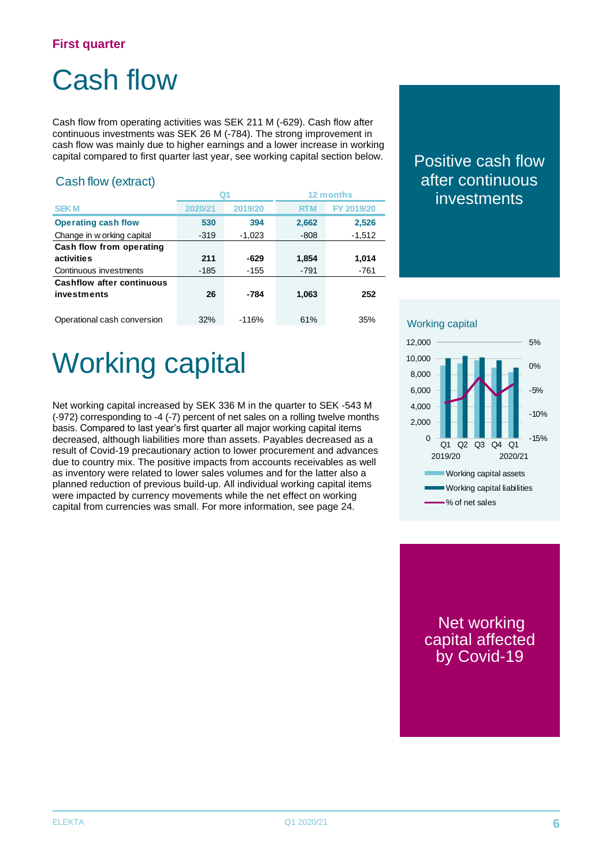## Cash flow

Cash flow from operating activities was SEK 211 M (-629). Cash flow after continuous investments was SEK 26 M (-784). The strong improvement in cash flow was mainly due to higher earnings and a lower increase in working capital compared to first quarter last year, see working capital section below.

#### Cash flow (extract)

|                                  |         |          |            | 12 months  |
|----------------------------------|---------|----------|------------|------------|
| <b>SEK M</b>                     | 2020/21 | 2019/20  | <b>RTM</b> | FY 2019/20 |
| <b>Operating cash flow</b>       | 530     | 394      | 2,662      | 2,526      |
| Change in w orking capital       | $-319$  | $-1,023$ | $-808$     | $-1,512$   |
| Cash flow from operating         |         |          |            |            |
| activities                       | 211     | $-629$   | 1,854      | 1,014      |
| Continuous investments           | $-185$  | $-155$   | $-791$     | $-761$     |
| <b>Cashflow after continuous</b> |         |          |            |            |
| investments                      | 26      | -784     | 1,063      | 252        |
|                                  |         |          |            |            |
| Operational cash conversion      | 32%     | $-116%$  | 61%        | 35%        |

Positive cash flow after continuous investments

## Working capital

Net working capital increased by SEK 336 M in the quarter to SEK -543 M (-972) corresponding to -4 (-7) percent of net sales on a rolling twelve months basis. Compared to last year's first quarter all major working capital items decreased, although liabilities more than assets. Payables decreased as a result of Covid-19 precautionary action to lower procurement and advances due to country mix. The positive impacts from accounts receivables as well as inventory were related to lower sales volumes and for the latter also a planned reduction of previous build-up. All individual working capital items were impacted by currency movements while the net effect on working capital from currencies was small. For more information, see page 24.

#### Working capital



Net working capital affected by Covid-19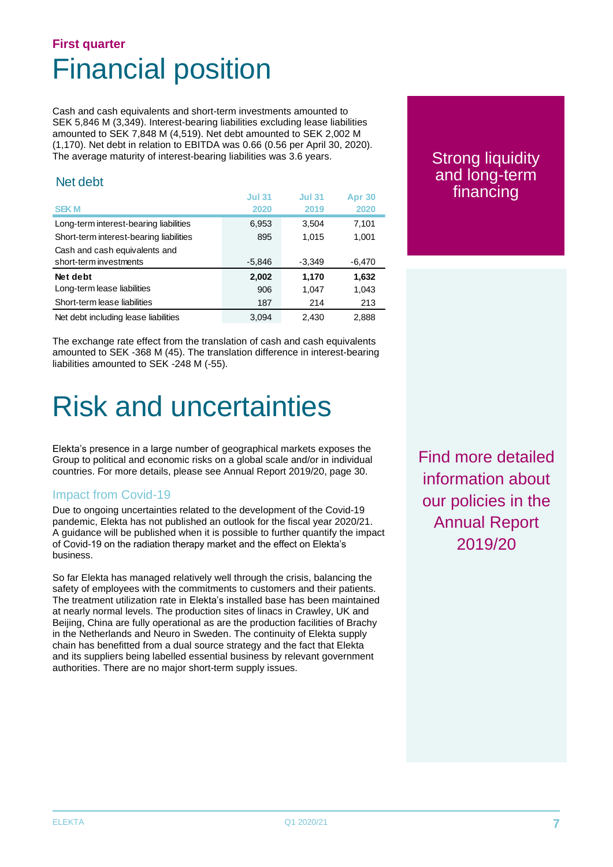### **First quarter** Financial position

Cash and cash equivalents and short-term investments amounted to SEK 5,846 M (3,349). Interest-bearing liabilities excluding lease liabilities amounted to SEK 7,848 M (4,519). Net debt amounted to SEK 2,002 M (1,170). Net debt in relation to EBITDA was 0.66 (0.56 per April 30, 2020). The average maturity of interest-bearing liabilities was 3.6 years.

#### Net debt

|                                         | <b>Jul 31</b> | <b>Jul 31</b> | <b>Apr 30</b> |
|-----------------------------------------|---------------|---------------|---------------|
| <b>SEKM</b>                             | 2020          | 2019          | 2020          |
| Long-term interest-bearing liabilities  | 6,953         | 3,504         | 7,101         |
| Short-term interest-bearing liabilities | 895           | 1.015         | 1,001         |
| Cash and cash equivalents and           |               |               |               |
| short-term investments                  | $-5,846$      | $-3,349$      | $-6,470$      |
| Net debt                                | 2,002         | 1,170         | 1,632         |
| Long-term lease liabilities             | 906           | 1,047         | 1,043         |
| Short-term lease liabilities            | 187           | 214           | 213           |
| Net debt including lease liabilities    | 3.094         | 2.430         | 2,888         |

The exchange rate effect from the translation of cash and cash equivalents amounted to SEK -368 M (45). The translation difference in interest-bearing liabilities amounted to SEK -248 M (-55).

## Risk and uncertainties

Elekta's presence in a large number of geographical markets exposes the Group to political and economic risks on a global scale and/or in individual countries. For more details, please see Annual Report 2019/20, page 30.

#### Impact from Covid-19

Due to ongoing uncertainties related to the development of the Covid-19 pandemic, Elekta has not published an outlook for the fiscal year 2020/21. A guidance will be published when it is possible to further quantify the impact of Covid-19 on the radiation therapy market and the effect on Elekta's business.

So far Elekta has managed relatively well through the crisis, balancing the safety of employees with the commitments to customers and their patients. The treatment utilization rate in Elekta's installed base has been maintained at nearly normal levels. The production sites of linacs in Crawley, UK and Beijing, China are fully operational as are the production facilities of Brachy in the Netherlands and Neuro in Sweden. The continuity of Elekta supply chain has benefitted from a dual source strategy and the fact that Elekta and its suppliers being labelled essential business by relevant government authorities. There are no major short-term supply issues.

Strong liquidity and long-term financing

Find more detailed information about our policies in the Annual Report 2019/20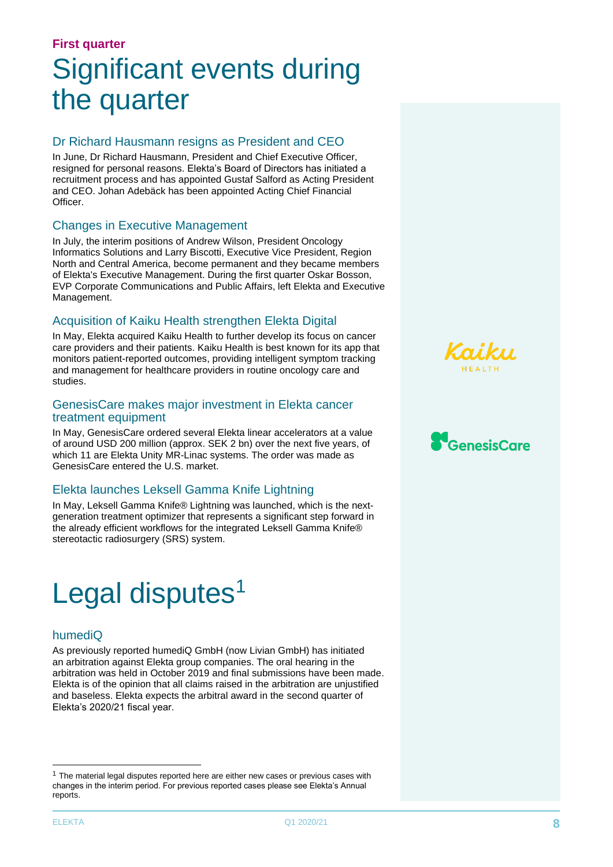## **First quarter** Significant events during the quarter

#### Dr Richard Hausmann resigns as President and CEO

In June, Dr Richard Hausmann, President and Chief Executive Officer, resigned for personal reasons. Elekta's Board of Directors has initiated a recruitment process and has appointed Gustaf Salford as Acting President and CEO. Johan Adebäck has been appointed Acting Chief Financial Officer.

#### Changes in Executive Management

In July, the interim positions of Andrew Wilson, President Oncology Informatics Solutions and Larry Biscotti, Executive Vice President, Region North and Central America, become permanent and they became members of Elekta's Executive Management. During the first quarter Oskar Bosson, EVP Corporate Communications and Public Affairs, left Elekta and Executive Management.

#### Acquisition of Kaiku Health strengthen Elekta Digital

In May, Elekta acquired Kaiku Health to further develop its focus on cancer care providers and their patients. Kaiku Health is best known for its app that monitors patient-reported outcomes, providing intelligent symptom tracking and management for healthcare providers in routine oncology care and studies.

#### GenesisCare makes major investment in Elekta cancer treatment equipment

In May, GenesisCare ordered several Elekta linear accelerators at a value of around USD 200 million (approx. SEK 2 bn) over the next five years, of which 11 are Elekta Unity MR-Linac systems. The order was made as GenesisCare entered the U.S. market.

#### Elekta launches Leksell Gamma Knife Lightning

In May, Leksell Gamma Knife® Lightning was launched, which is the nextgeneration treatment optimizer that represents a significant step forward in the already efficient workflows for the integrated Leksell Gamma Knife® stereotactic radiosurgery (SRS) system.

## Legal disputes<sup>1</sup>

#### humediQ

As previously reported humediQ GmbH (now Livian GmbH) has initiated an arbitration against Elekta group companies. The oral hearing in the arbitration was held in October 2019 and final submissions have been made. Elekta is of the opinion that all claims raised in the arbitration are unjustified and baseless. Elekta expects the arbitral award in the second quarter of Elekta's 2020/21 fiscal year.





 $1$  The material legal disputes reported here are either new cases or previous cases with changes in the interim period. For previous reported cases please see Elekta's Annual reports.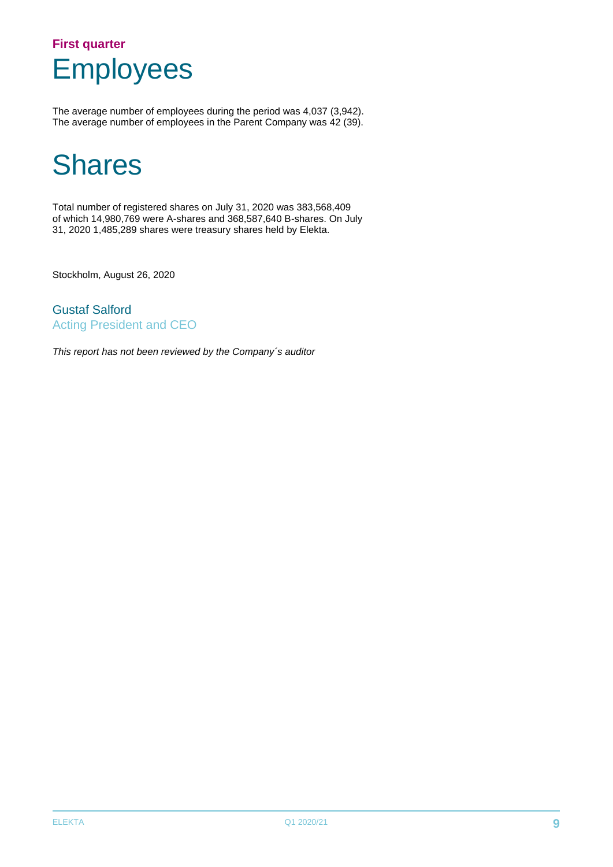### **First quarter** Employees

The average number of employees during the period was 4,037 (3,942). The average number of employees in the Parent Company was 42 (39).

## **Shares**

Total number of registered shares on July 31, 2020 was 383,568,409 of which 14,980,769 were A-shares and 368,587,640 B-shares. On July 31, 2020 1,485,289 shares were treasury shares held by Elekta.

Stockholm, August 26, 2020

Gustaf Salford Acting President and CEO

*This report has not been reviewed by the Company´s auditor*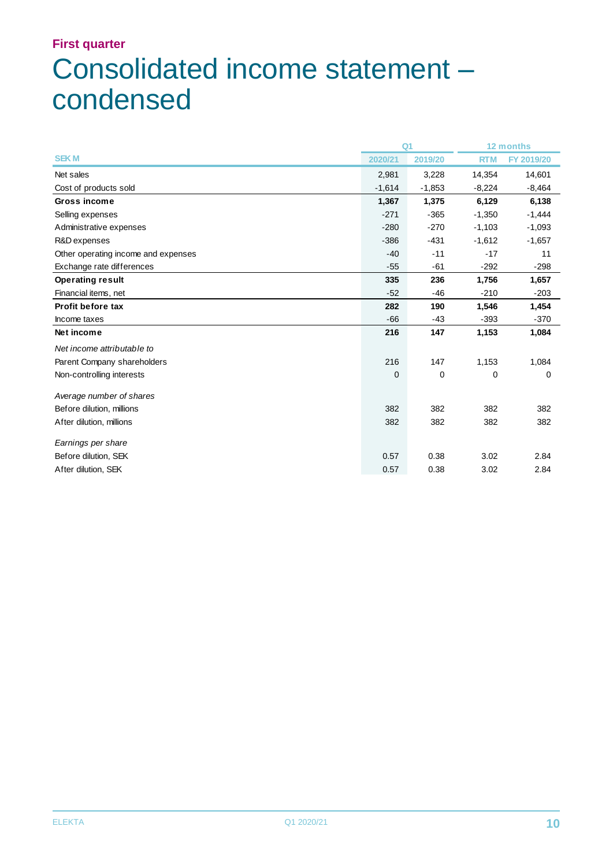## **First quarter** Consolidated income statement – condensed

|                                     | Q <sub>1</sub> |          | 12 months  |            |
|-------------------------------------|----------------|----------|------------|------------|
| <b>SEKM</b>                         | 2020/21        | 2019/20  | <b>RTM</b> | FY 2019/20 |
| Net sales                           | 2,981          | 3,228    | 14,354     | 14,601     |
| Cost of products sold               | $-1,614$       | $-1,853$ | $-8,224$   | $-8,464$   |
| Gross income                        | 1,367          | 1,375    | 6,129      | 6,138      |
| Selling expenses                    | $-271$         | $-365$   | $-1,350$   | $-1,444$   |
| Administrative expenses             | $-280$         | $-270$   | $-1,103$   | $-1,093$   |
| R&D expenses                        | $-386$         | $-431$   | $-1,612$   | $-1,657$   |
| Other operating income and expenses | $-40$          | $-11$    | $-17$      | 11         |
| Exchange rate differences           | $-55$          | $-61$    | $-292$     | $-298$     |
| <b>Operating result</b>             | 335            | 236      | 1,756      | 1,657      |
| Financial items, net                | $-52$          | -46      | $-210$     | $-203$     |
| <b>Profit before tax</b>            | 282            | 190      | 1,546      | 1,454      |
| Income taxes                        | $-66$          | -43      | $-393$     | $-370$     |
| Net income                          | 216            | 147      | 1,153      | 1,084      |
| Net income attributable to          |                |          |            |            |
| Parent Company shareholders         | 216            | 147      | 1,153      | 1,084      |
| Non-controlling interests           | 0              | 0        | 0          | 0          |
| Average number of shares            |                |          |            |            |
| Before dilution, millions           | 382            | 382      | 382        | 382        |
| After dilution, millions            | 382            | 382      | 382        | 382        |
| Earnings per share                  |                |          |            |            |
| Before dilution, SEK                | 0.57           | 0.38     | 3.02       | 2.84       |
| After dilution, SEK                 | 0.57           | 0.38     | 3.02       | 2.84       |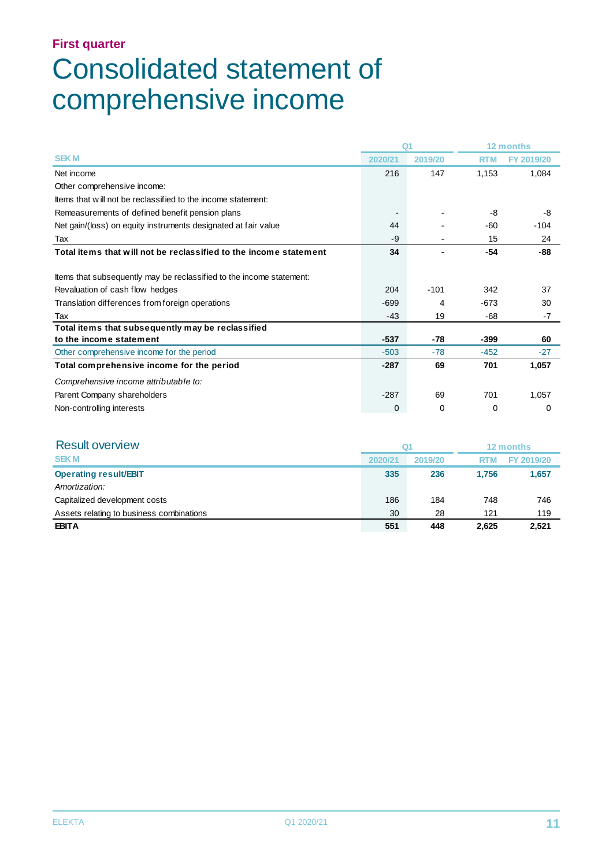## Consolidated statement of comprehensive income

|                                                                      | Q <sub>1</sub> |         |            | 12 months  |
|----------------------------------------------------------------------|----------------|---------|------------|------------|
| <b>SEKM</b>                                                          | 2020/21        | 2019/20 | <b>RTM</b> | FY 2019/20 |
| Net income                                                           | 216            | 147     | 1,153      | 1,084      |
| Other comprehensive income:                                          |                |         |            |            |
| Items that will not be reclassified to the income statement:         |                |         |            |            |
| Remeasurements of defined benefit pension plans                      |                |         | -8         | -8         |
| Net gain/(loss) on equity instruments designated at fair value       | 44             |         | -60        | $-104$     |
| Tax                                                                  | -9             |         | 15         | 24         |
| Total items that will not be reclassified to the income statement    | 34             |         | $-54$      | -88        |
|                                                                      |                |         |            |            |
| Items that subsequently may be reclassified to the income statement: |                |         |            |            |
| Revaluation of cash flow hedges                                      | 204            | $-101$  | 342        | 37         |
| Translation differences from foreign operations                      | $-699$         | 4       | $-673$     | 30         |
| Tax                                                                  | $-43$          | 19      | -68        | $-7$       |
| Total items that subsequently may be reclassified                    |                |         |            |            |
| to the income statement                                              | $-537$         | -78     | $-399$     | 60         |
| Other comprehensive income for the period                            | $-503$         | $-78$   | $-452$     | $-27$      |
| Total comprehensive income for the period                            | $-287$         | 69      | 701        | 1,057      |
| Comprehensive income attributable to:                                |                |         |            |            |
| Parent Company shareholders                                          | $-287$         | 69      | 701        | 1,057      |
| Non-controlling interests                                            | 0              | 0       | 0          | 0          |

| <b>Result overview</b>                   | Q1      |         | 12 months  |            |
|------------------------------------------|---------|---------|------------|------------|
| <b>SEKM</b>                              | 2020/21 | 2019/20 | <b>RTM</b> | FY 2019/20 |
| <b>Operating result/EBIT</b>             | 335     | 236     | 1.756      | 1,657      |
| Amortization:                            |         |         |            |            |
| Capitalized development costs            | 186     | 184     | 748        | 746        |
| Assets relating to business combinations | 30      | 28      | 121        | 119        |
| <b>EBITA</b>                             | 551     | 448     | 2,625      | 2,521      |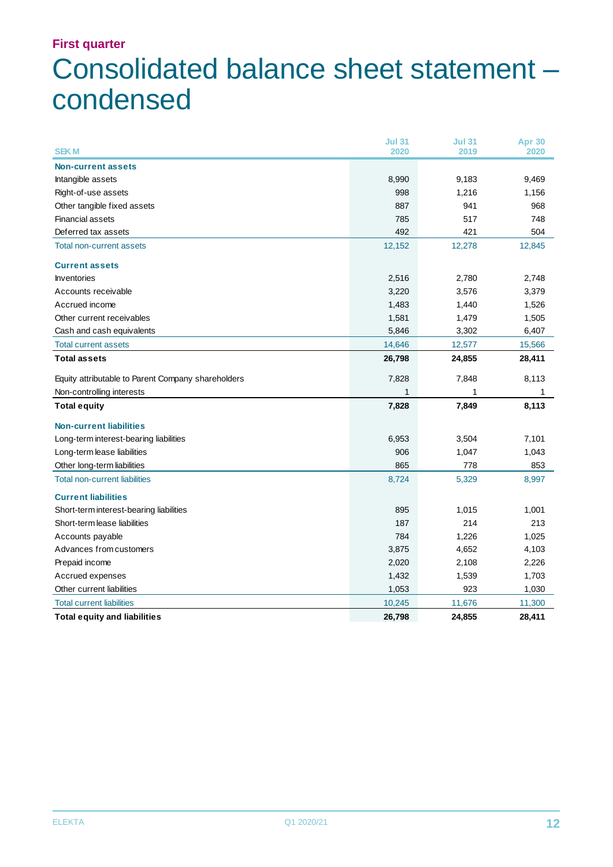## Consolidated balance sheet statement – condensed

| <b>SEKM</b>                                        | <b>Jul 31</b><br>2020 | <b>Jul 31</b><br>2019 | Apr 30<br>2020 |
|----------------------------------------------------|-----------------------|-----------------------|----------------|
|                                                    |                       |                       |                |
| <b>Non-current assets</b>                          |                       |                       |                |
| Intangible assets                                  | 8,990                 | 9,183                 | 9,469          |
| Right-of-use assets                                | 998                   | 1,216                 | 1,156          |
| Other tangible fixed assets                        | 887                   | 941                   | 968            |
| <b>Financial assets</b>                            | 785                   | 517                   | 748            |
| Deferred tax assets                                | 492                   | 421                   | 504            |
| <b>Total non-current assets</b>                    | 12,152                | 12,278                | 12,845         |
| <b>Current assets</b>                              |                       |                       |                |
| <b>Inventories</b>                                 | 2,516                 | 2,780                 | 2,748          |
| Accounts receivable                                | 3,220                 | 3,576                 | 3,379          |
| Accrued income                                     | 1,483                 | 1,440                 | 1,526          |
| Other current receivables                          | 1,581                 | 1,479                 | 1,505          |
| Cash and cash equivalents                          | 5,846                 | 3,302                 | 6,407          |
| <b>Total current assets</b>                        | 14,646                | 12,577                | 15,566         |
| <b>Total assets</b>                                | 26,798                | 24,855                | 28,411         |
| Equity attributable to Parent Company shareholders | 7,828                 | 7,848                 | 8,113          |
| Non-controlling interests                          |                       | 1                     |                |
| <b>Total equity</b>                                | 7,828                 | 7,849                 | 8,113          |
| <b>Non-current liabilities</b>                     |                       |                       |                |
| Long-term interest-bearing liabilities             | 6,953                 | 3,504                 | 7,101          |
| Long-term lease liabilities                        | 906                   | 1,047                 | 1,043          |
| Other long-term liabilities                        | 865                   | 778                   | 853            |
| <b>Total non-current liabilities</b>               | 8,724                 | 5,329                 | 8,997          |
| <b>Current liabilities</b>                         |                       |                       |                |
| Short-term interest-bearing liabilities            | 895                   | 1,015                 | 1,001          |
| Short-term lease liabilities                       | 187                   | 214                   | 213            |
| Accounts payable                                   | 784                   | 1,226                 | 1,025          |
| Advances from customers                            | 3,875                 | 4,652                 | 4,103          |
| Prepaid income                                     | 2,020                 | 2,108                 | 2,226          |
| Accrued expenses                                   | 1,432                 | 1,539                 | 1,703          |
| Other current liabilities                          | 1,053                 | 923                   | 1,030          |
| <b>Total current liabilities</b>                   | 10,245                | 11,676                | 11,300         |
| <b>Total equity and liabilities</b>                | 26,798                | 24,855                | 28,411         |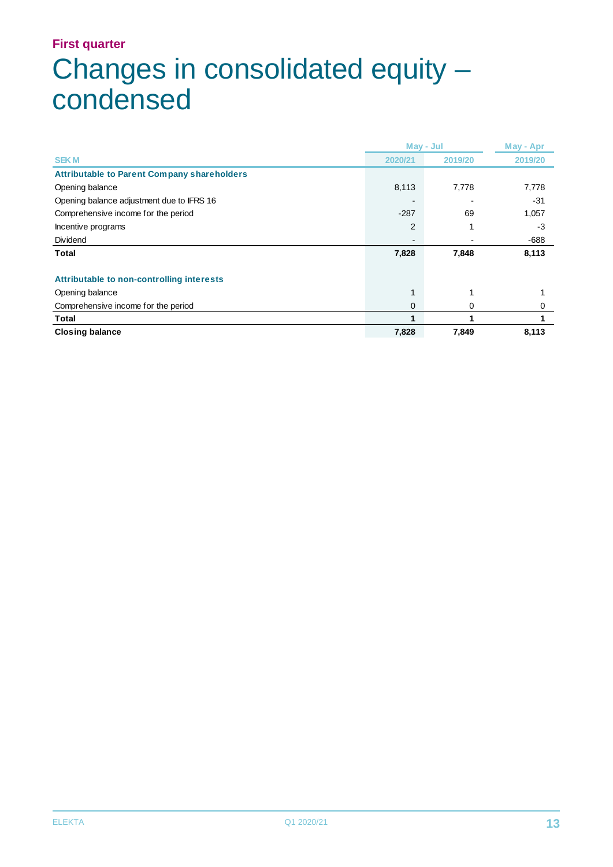## **First quarter** Changes in consolidated equity – condensed

|                                                    |         | May - Jul |         |  |
|----------------------------------------------------|---------|-----------|---------|--|
| <b>SEKM</b>                                        | 2020/21 | 2019/20   | 2019/20 |  |
| <b>Attributable to Parent Company shareholders</b> |         |           |         |  |
| Opening balance                                    | 8,113   | 7,778     | 7,778   |  |
| Opening balance adjustment due to IFRS 16          |         |           | $-31$   |  |
| Comprehensive income for the period                | $-287$  | 69        | 1,057   |  |
| Incentive programs                                 | 2       |           | $-3$    |  |
| Dividend                                           |         |           | -688    |  |
| Total                                              | 7,828   | 7,848     | 8,113   |  |
| Attributable to non-controlling interests          |         |           |         |  |
| Opening balance                                    |         |           |         |  |
| Comprehensive income for the period                | 0       | 0         | 0       |  |
| Total                                              |         |           |         |  |
| <b>Closing balance</b>                             | 7,828   | 7,849     | 8,113   |  |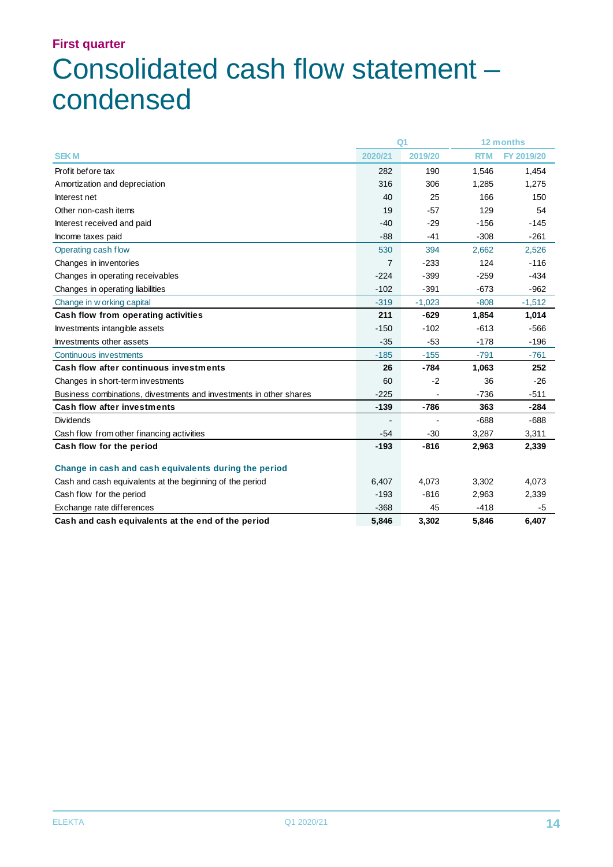## **First quarter** Consolidated cash flow statement – condensed

|                                                                    |                | Q <sub>1</sub> |            | 12 months  |
|--------------------------------------------------------------------|----------------|----------------|------------|------------|
| <b>SEKM</b>                                                        | 2020/21        | 2019/20        | <b>RTM</b> | FY 2019/20 |
| Profit before tax                                                  | 282            | 190            | 1,546      | 1,454      |
| Amortization and depreciation                                      | 316            | 306            | 1,285      | 1,275      |
| Interest net                                                       | 40             | 25             | 166        | 150        |
| Other non-cash items                                               | 19             | $-57$          | 129        | 54         |
| Interest received and paid                                         | $-40$          | $-29$          | $-156$     | $-145$     |
| Income taxes paid                                                  | $-88$          | $-41$          | $-308$     | $-261$     |
| Operating cash flow                                                | 530            | 394            | 2,662      | 2,526      |
| Changes in inventories                                             | $\overline{7}$ | $-233$         | 124        | $-116$     |
| Changes in operating receivables                                   | $-224$         | $-399$         | $-259$     | $-434$     |
| Changes in operating liabilities                                   | $-102$         | $-391$         | $-673$     | $-962$     |
| Change in w orking capital                                         | $-319$         | $-1,023$       | $-808 -$   | $-1,512$   |
| Cash flow from operating activities                                | 211            | $-629$         | 1,854      | 1,014      |
| Investments intangible assets                                      | $-150$         | $-102$         | $-613$     | $-566$     |
| Investments other assets                                           | $-35$          | $-53$          | $-178$     | $-196$     |
| Continuous investments                                             | $-185$         | $-155$         | $-791$     | $-761$     |
| Cash flow after continuous investments                             | 26             | $-784$         | 1,063      | 252        |
| Changes in short-term investments                                  | 60             | $-2$           | 36         | $-26$      |
| Business combinations, divestments and investments in other shares | $-225$         |                | $-736$     | $-511$     |
| <b>Cash flow after investments</b>                                 | $-139$         | $-786$         | 363        | $-284$     |
| <b>Dividends</b>                                                   |                |                | $-688$     | $-688$     |
| Cash flow from other financing activities                          | $-54$          | $-30$          | 3,287      | 3,311      |
| Cash flow for the period                                           | $-193$         | $-816$         | 2,963      | 2,339      |
|                                                                    |                |                |            |            |
| Change in cash and cash equivalents during the period              |                |                |            |            |
| Cash and cash equivalents at the beginning of the period           | 6,407          | 4,073          | 3,302      | 4,073      |
| Cash flow for the period                                           | $-193$         | $-816$         | 2,963      | 2,339      |
| Exchange rate differences                                          | $-368$         | 45             | $-418$     | $-5$       |
| Cash and cash equivalents at the end of the period                 | 5,846          | 3,302          | 5,846      | 6,407      |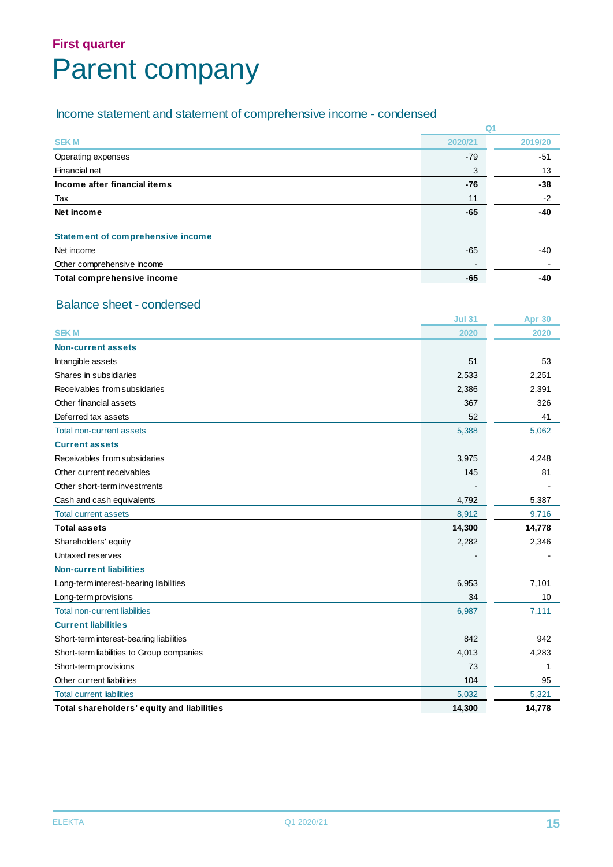## **First quarter** Parent company

#### Income statement and statement of comprehensive income - condensed

|                                          | Q <sub>1</sub> |         |
|------------------------------------------|----------------|---------|
| <b>SEKM</b>                              | 2020/21        | 2019/20 |
| Operating expenses                       | $-79$          | $-51$   |
| Financial net                            | 3              | 13      |
| Income after financial items             | $-76$          | $-38$   |
| Tax                                      | 11             | $-2$    |
| Net income                               | $-65$          | -40     |
| <b>Statement of comprehensive income</b> |                |         |
| Net income                               | -65            | $-40$   |
| Other comprehensive income               | $\blacksquare$ |         |
| Total comprehensive income               | $-65$          | -40     |

#### Balance sheet - condensed

|                                            | <b>Jul 31</b> | <b>Apr 30</b> |
|--------------------------------------------|---------------|---------------|
| <b>SEKM</b>                                | 2020          | 2020          |
| <b>Non-current assets</b>                  |               |               |
| Intangible assets                          | 51            | 53            |
| Shares in subsidiaries                     | 2,533         | 2,251         |
| Receivables from subsidaries               | 2,386         | 2,391         |
| Other financial assets                     | 367           | 326           |
| Deferred tax assets                        | 52            | 41            |
| Total non-current assets                   | 5,388         | 5,062         |
| <b>Current assets</b>                      |               |               |
| Receivables from subsidaries               | 3,975         | 4,248         |
| Other current receivables                  | 145           | 81            |
| Other short-term investments               |               |               |
| Cash and cash equivalents                  | 4,792         | 5,387         |
| <b>Total current assets</b>                | 8,912         | 9,716         |
| <b>Total assets</b>                        | 14,300        | 14,778        |
| Shareholders' equity                       | 2,282         | 2,346         |
| Untaxed reserves                           |               |               |
| <b>Non-current liabilities</b>             |               |               |
| Long-term interest-bearing liabilities     | 6,953         | 7,101         |
| Long-term provisions                       | 34            | 10            |
| <b>Total non-current liabilities</b>       | 6,987         | 7,111         |
| <b>Current liabilities</b>                 |               |               |
| Short-term interest-bearing liabilities    | 842           | 942           |
| Short-term liabilities to Group companies  | 4,013         | 4,283         |
| Short-term provisions                      | 73            | 1             |
| Other current liabilities                  | 104           | 95            |
| <b>Total current liabilities</b>           | 5,032         | 5,321         |
| Total shareholders' equity and liabilities | 14,300        | 14,778        |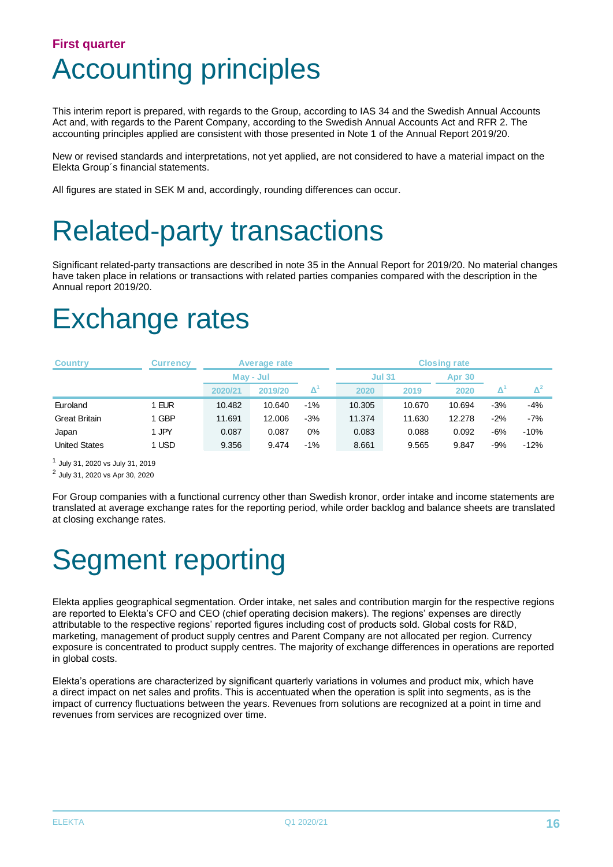### **First quarter** Accounting principles

This interim report is prepared, with regards to the Group, according to IAS 34 and the Swedish Annual Accounts Act and, with regards to the Parent Company, according to the Swedish Annual Accounts Act and RFR 2. The accounting principles applied are consistent with those presented in Note 1 of the Annual Report 2019/20.

New or revised standards and interpretations, not yet applied, are not considered to have a material impact on the Elekta Group´s financial statements.

All figures are stated in SEK M and, accordingly, rounding differences can occur.

## Related-party transactions

Significant related-party transactions are described in note 35 in the Annual Report for 2019/20. No material changes have taken place in relations or transactions with related parties companies compared with the description in the Annual report 2019/20.

## Exchange rates

| <b>Country</b>       | <b>Currency</b> | Average rate |         | <b>Closing rate</b>                         |               |        |               |       |                     |
|----------------------|-----------------|--------------|---------|---------------------------------------------|---------------|--------|---------------|-------|---------------------|
|                      |                 | May - Jul    |         |                                             | <b>Jul 31</b> |        | <b>Apr 30</b> |       |                     |
|                      |                 | 2020/21      | 2019/20 | $\mathbf{\Delta}^{\textnormal{\texttt{1}}}$ | 2020          | 2019   | 2020          |       | $\mathbf{\Delta}^2$ |
| Euroland             | 1 EUR           | 10.482       | 10.640  | $-1%$                                       | 10.305        | 10.670 | 10.694        | $-3%$ | $-4%$               |
| <b>Great Britain</b> | 1 GBP           | 11.691       | 12.006  | $-3%$                                       | 11.374        | 11.630 | 12.278        | $-2%$ | $-7%$               |
| Japan                | 1 JPY           | 0.087        | 0.087   | 0%                                          | 0.083         | 0.088  | 0.092         | -6%   | $-10%$              |
| <b>United States</b> | 1 USD           | 9.356        | 9.474   | $-1%$                                       | 8.661         | 9.565  | 9.847         | -9%   | $-12%$              |

1 July 31, 2020 vs July 31, 2019

2 July 31, 2020 vs Apr 30, 2020

For Group companies with a functional currency other than Swedish kronor, order intake and income statements are translated at average exchange rates for the reporting period, while order backlog and balance sheets are translated at closing exchange rates.

## Segment reporting

Elekta applies geographical segmentation. Order intake, net sales and contribution margin for the respective regions are reported to Elekta's CFO and CEO (chief operating decision makers). The regions' expenses are directly attributable to the respective regions' reported figures including cost of products sold. Global costs for R&D, marketing, management of product supply centres and Parent Company are not allocated per region. Currency exposure is concentrated to product supply centres. The majority of exchange differences in operations are reported in global costs.

Elekta's operations are characterized by significant quarterly variations in volumes and product mix, which have a direct impact on net sales and profits. This is accentuated when the operation is split into segments, as is the impact of currency fluctuations between the years. Revenues from solutions are recognized at a point in time and revenues from services are recognized over time.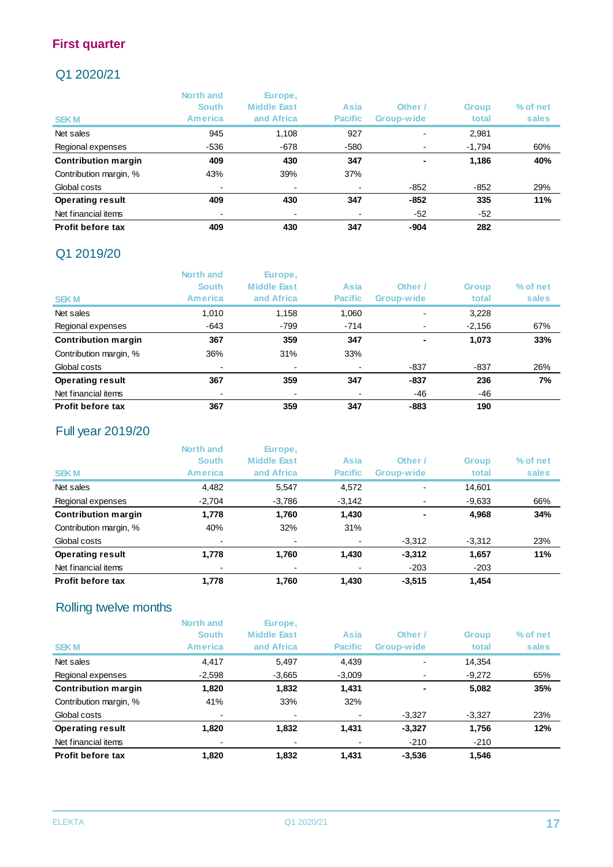#### Q1 2020/21

|                            | North and<br><b>South</b> | Europe,<br><b>Middle East</b> | Asia           | Other /                  | <b>Group</b> | % of net |
|----------------------------|---------------------------|-------------------------------|----------------|--------------------------|--------------|----------|
| <b>SEKM</b>                | America                   | and Africa                    | <b>Pacific</b> | Group-wide               | total        | sales    |
| Net sales                  | 945                       | 1.108                         | 927            | $\overline{\phantom{0}}$ | 2,981        |          |
| Regional expenses          | $-536$                    | $-678$                        | $-580$         |                          | $-1,794$     | 60%      |
| <b>Contribution margin</b> | 409                       | 430                           | 347            | $\overline{\phantom{0}}$ | 1,186        | 40%      |
| Contribution margin, %     | 43%                       | 39%                           | 37%            |                          |              |          |
| Global costs               | $\blacksquare$            |                               |                | $-852$                   | $-852$       | 29%      |
| <b>Operating result</b>    | 409                       | 430                           | 347            | $-852$                   | 335          | 11%      |
| Net financial items        | $\overline{\phantom{0}}$  |                               |                | $-52$                    | -52          |          |
| Profit before tax          | 409                       | 430                           | 347            | -904                     | 282          |          |

#### Q1 2019/20

|                            | North and      | Europe,<br><b>Middle East</b> |                | Other /                  |              |          |
|----------------------------|----------------|-------------------------------|----------------|--------------------------|--------------|----------|
|                            | <b>South</b>   |                               | Asia           |                          | <b>Group</b> | % of net |
| <b>SEKM</b>                | <b>America</b> | and Africa                    | <b>Pacific</b> | Group-wide               | total        | sales    |
| Net sales                  | 1,010          | 1,158                         | 1,060          | $\overline{\phantom{0}}$ | 3,228        |          |
| Regional expenses          | $-643$         | -799                          | $-714$         |                          | $-2,156$     | 67%      |
| <b>Contribution margin</b> | 367            | 359                           | 347            |                          | 1,073        | 33%      |
| Contribution margin, %     | 36%            | 31%                           | 33%            |                          |              |          |
| Global costs               |                |                               |                | -837                     | $-837$       | 26%      |
| <b>Operating result</b>    | 367            | 359                           | 347            | $-837$                   | 236          | 7%       |
| Net financial items        |                |                               |                | -46                      | -46          |          |
| Profit before tax          | 367            | 359                           | 347            | $-883$                   | 190          |          |

#### Full year 2019/20

|                            | North and<br><b>South</b> | Europe,<br><b>Middle East</b> | Asia           | Other /    | <b>Group</b> | % of net |
|----------------------------|---------------------------|-------------------------------|----------------|------------|--------------|----------|
|                            | <b>America</b>            | and Africa                    | <b>Pacific</b> | Group-wide | total        | sales    |
| <b>SEKM</b>                |                           |                               |                |            |              |          |
| Net sales                  | 4,482                     | 5,547                         | 4,572          |            | 14,601       |          |
| Regional expenses          | $-2,704$                  | $-3,786$                      | $-3,142$       |            | $-9,633$     | 66%      |
| <b>Contribution margin</b> | 1,778                     | 1,760                         | 1,430          |            | 4,968        | 34%      |
| Contribution margin, %     | 40%                       | 32%                           | 31%            |            |              |          |
| Global costs               | ۰                         |                               | $\blacksquare$ | $-3,312$   | $-3.312$     | 23%      |
| <b>Operating result</b>    | 1,778                     | 1,760                         | 1,430          | $-3,312$   | 1,657        | 11%      |
| Net financial items        |                           |                               | $\blacksquare$ | $-203$     | $-203$       |          |
| Profit before tax          | 1.778                     | 1.760                         | 1.430          | $-3.515$   | 1.454        |          |

#### Rolling twelve months

|                            | North and<br><b>South</b> | Europe,<br><b>Middle East</b> | Asia           | Other /    | <b>Group</b> | % of net |
|----------------------------|---------------------------|-------------------------------|----------------|------------|--------------|----------|
| <b>SEKM</b>                | America                   | and Africa                    | <b>Pacific</b> | Group-wide | total        | sales    |
| Net sales                  | 4,417                     | 5,497                         | 4,439          |            | 14,354       |          |
| Regional expenses          | $-2,598$                  | $-3,665$                      | $-3,009$       |            | $-9,272$     | 65%      |
| <b>Contribution margin</b> | 1,820                     | 1,832                         | 1,431          |            | 5,082        | 35%      |
| Contribution margin, %     | 41%                       | 33%                           | 32%            |            |              |          |
| Global costs               | $\overline{\phantom{0}}$  |                               |                | $-3,327$   | $-3,327$     | 23%      |
| <b>Operating result</b>    | 1,820                     | 1,832                         | 1.431          | $-3,327$   | 1,756        | 12%      |
| Net financial items        |                           |                               |                | $-210$     | $-210$       |          |
| Profit before tax          | 1.820                     | 1.832                         | 1.431          | $-3,536$   | 1.546        |          |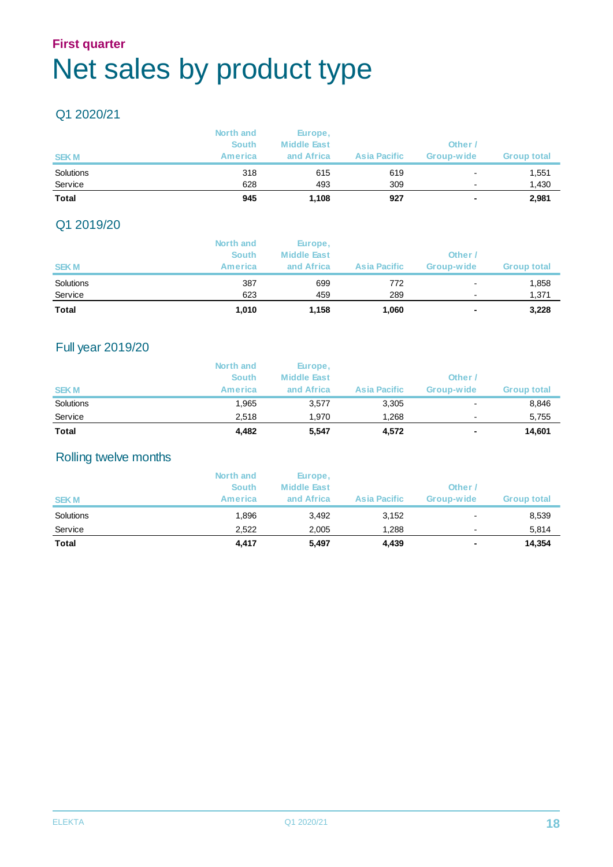### **First quarter** Net sales by product type

#### Q1 2020/21

| <b>Total</b> | 945          | 1.108              | 927                 |                          | 2,981              |
|--------------|--------------|--------------------|---------------------|--------------------------|--------------------|
| Service      | 628          | 493                | 309                 | $\overline{\phantom{0}}$ | 1,430              |
| Solutions    | 318          | 615                | 619                 | $\overline{\phantom{a}}$ | 1,551              |
| <b>SEKM</b>  | America      | and Africa         | <b>Asia Pacific</b> | Group-wide               | <b>Group total</b> |
|              | <b>South</b> | <b>Middle East</b> |                     | Other <sub>/</sub>       |                    |
|              | North and    | Europe,            |                     |                          |                    |

#### Q1 2019/20

|              | North and    | Europe,            |                     |                |                    |
|--------------|--------------|--------------------|---------------------|----------------|--------------------|
|              | <b>South</b> | <b>Middle East</b> |                     | Other /        |                    |
| <b>SEKM</b>  | America      | and Africa         | <b>Asia Pacific</b> | Group-wide     | <b>Group total</b> |
| Solutions    | 387          | 699                | 772                 | $\blacksquare$ | 1,858              |
| Service      | 623          | 459                | 289                 | $\blacksquare$ | 1,371              |
| <b>Total</b> | 1,010        | 1,158              | 1,060               |                | 3,228              |

#### Full year 2019/20

|              | North and<br><b>South</b> | Europe,<br><b>Middle East</b> |                     | Other                    |                    |
|--------------|---------------------------|-------------------------------|---------------------|--------------------------|--------------------|
| <b>SEKM</b>  | <b>America</b>            | and Africa                    | <b>Asia Pacific</b> | Group-wide               | <b>Group total</b> |
| Solutions    | 1,965                     | 3,577                         | 3,305               | $\overline{\phantom{0}}$ | 8,846              |
| Service      | 2.518                     | 1.970                         | 1.268               | $\overline{\phantom{0}}$ | 5,755              |
| <b>Total</b> | 4,482                     | 5,547                         | 4,572               | ٠                        | 14.601             |

#### Rolling twelve months

|              | North and<br><b>South</b> | Europe,<br><b>Middle East</b> |                     | Other /                  |             |
|--------------|---------------------------|-------------------------------|---------------------|--------------------------|-------------|
| <b>SEKM</b>  | <b>America</b>            | and Africa                    | <b>Asia Pacific</b> | Group-wide               | Group total |
| Solutions    | 1.896                     | 3,492                         | 3,152               | $\overline{\phantom{0}}$ | 8,539       |
| Service      | 2.522                     | 2,005                         | 1.288               | $\blacksquare$           | 5,814       |
| <b>Total</b> | 4,417                     | 5,497                         | 4,439               | ٠                        | 14,354      |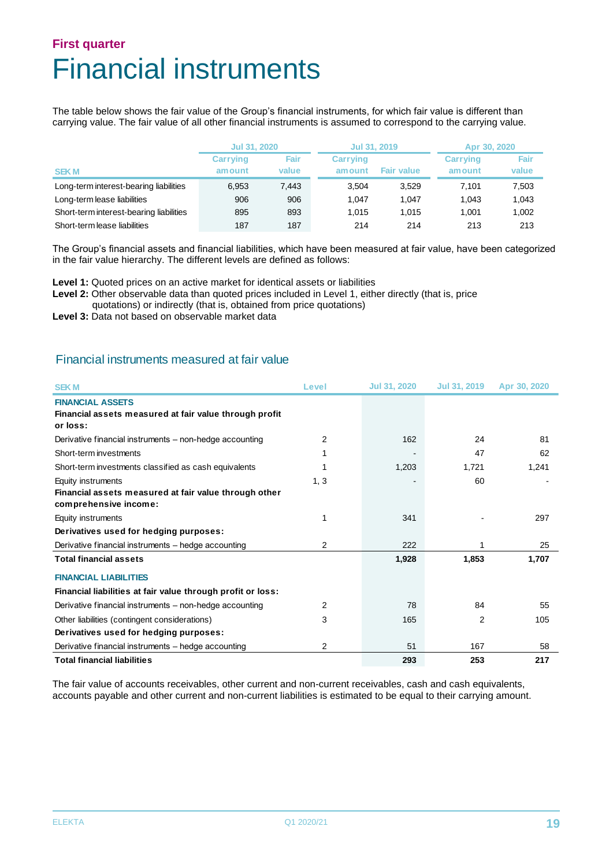### **First quarter** Financial instruments

The table below shows the fair value of the Group's financial instruments, for which fair value is different than carrying value. The fair value of all other financial instruments is assumed to correspond to the carrying value.

|                                         | <b>Jul 31, 2020</b>       |               | Jul 31, 2019              |                   | Apr 30, 2020               |               |  |
|-----------------------------------------|---------------------------|---------------|---------------------------|-------------------|----------------------------|---------------|--|
| <b>SEKM</b>                             | <b>Carrying</b><br>amount | Fair<br>value | <b>Carrying</b><br>amount | <b>Fair value</b> | <b>Carrving</b><br>am ount | Fair<br>value |  |
| Long-term interest-bearing liabilities  | 6,953                     | 7.443         | 3.504                     | 3.529             | 7.101                      | 7,503         |  |
| Long-term lease liabilities             | 906                       | 906           | 1.047                     | 1.047             | 1.043                      | 1,043         |  |
| Short-term interest-bearing liabilities | 895                       | 893           | 1.015                     | 1.015             | 1.001                      | 1,002         |  |
| Short-term lease liabilities            | 187                       | 187           | 214                       | 214               | 213                        | 213           |  |

The Group's financial assets and financial liabilities, which have been measured at fair value, have been categorized in the fair value hierarchy. The different levels are defined as follows:

**Level 1:** Quoted prices on an active market for identical assets or liabilities

Level 2: Other observable data than quoted prices included in Level 1, either directly (that is, price quotations) or indirectly (that is, obtained from price quotations)

Level 3: Data not based on observable market data

#### Financial instruments measured at fair value

| <b>SEKM</b>                                                                                          | Level | <b>Jul 31, 2020</b> | Jul 31, 2019 | Apr 30, 2020 |
|------------------------------------------------------------------------------------------------------|-------|---------------------|--------------|--------------|
| <b>FINANCIAL ASSETS</b><br>Financial assets measured at fair value through profit<br>or loss:        |       |                     |              |              |
| Derivative financial instruments – non-hedge accounting                                              | 2     | 162                 | 24           | 81           |
| Short-term investments                                                                               |       |                     | 47           | 62           |
| Short-term investments classified as cash equivalents                                                |       | 1,203               | 1,721        | 1,241        |
| Equity instruments<br>Financial assets measured at fair value through other<br>comprehensive income: | 1, 3  |                     | 60           |              |
| Equity instruments                                                                                   |       | 341                 |              | 297          |
| Derivatives used for hedging purposes:                                                               |       |                     |              |              |
| Derivative financial instruments - hedge accounting                                                  | 2     | 222                 |              | 25           |
| <b>Total financial assets</b>                                                                        |       | 1,928               | 1,853        | 1,707        |
| <b>FINANCIAL LIABILITIES</b>                                                                         |       |                     |              |              |
| Financial liabilities at fair value through profit or loss:                                          |       |                     |              |              |
| Derivative financial instruments – non-hedge accounting                                              | 2     | 78                  | 84           | 55           |
| Other liabilities (contingent considerations)                                                        | 3     | 165                 | 2            | 105          |
| Derivatives used for hedging purposes:                                                               |       |                     |              |              |
| Derivative financial instruments – hedge accounting                                                  | 2     | 51                  | 167          | 58           |
| <b>Total financial liabilities</b>                                                                   |       | 293                 | 253          | 217          |

The fair value of accounts receivables, other current and non-current receivables, cash and cash equivalents, accounts payable and other current and non-current liabilities is estimated to be equal to their carrying amount.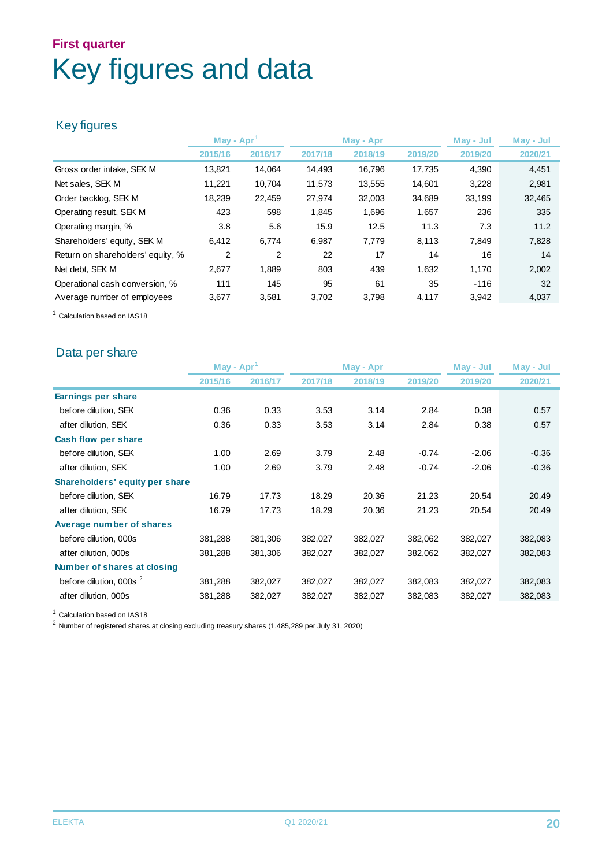## **First quarter** Key figures and data

#### Key figures

|                                   | May - $Apr1$   |                | May - Apr |         | May - Jul |         | May - Jul |
|-----------------------------------|----------------|----------------|-----------|---------|-----------|---------|-----------|
|                                   | 2015/16        | 2016/17        | 2017/18   | 2018/19 | 2019/20   | 2019/20 | 2020/21   |
| Gross order intake, SEK M         | 13,821         | 14,064         | 14,493    | 16,796  | 17,735    | 4,390   | 4,451     |
| Net sales, SEK M                  | 11,221         | 10.704         | 11,573    | 13,555  | 14,601    | 3,228   | 2,981     |
| Order backlog, SEK M              | 18,239         | 22,459         | 27,974    | 32,003  | 34,689    | 33,199  | 32,465    |
| Operating result, SEK M           | 423            | 598            | 1,845     | 1,696   | 1,657     | 236     | 335       |
| Operating margin, %               | 3.8            | 5.6            | 15.9      | 12.5    | 11.3      | 7.3     | 11.2      |
| Shareholders' equity, SEK M       | 6.412          | 6.774          | 6.987     | 7.779   | 8,113     | 7.849   | 7,828     |
| Return on shareholders' equity, % | $\overline{2}$ | $\overline{2}$ | 22        | 17      | 14        | 16      | 14        |
| Net debt. SEK M                   | 2,677          | 1,889          | 803       | 439     | 1,632     | 1,170   | 2,002     |
| Operational cash conversion, %    | 111            | 145            | 95        | 61      | 35        | $-116$  | 32        |
| Average number of employees       | 3,677          | 3,581          | 3,702     | 3,798   | 4,117     | 3,942   | 4,037     |

<sup>1</sup> Calculation based on IAS18

#### Data per share

|                                    | May - $Apr1$ |         | May - Apr |         | May - Jul |         | May - Jul |
|------------------------------------|--------------|---------|-----------|---------|-----------|---------|-----------|
|                                    | 2015/16      | 2016/17 | 2017/18   | 2018/19 | 2019/20   | 2019/20 | 2020/21   |
| Earnings per share                 |              |         |           |         |           |         |           |
| before dilution, SEK               | 0.36         | 0.33    | 3.53      | 3.14    | 2.84      | 0.38    | 0.57      |
| after dilution, SEK                | 0.36         | 0.33    | 3.53      | 3.14    | 2.84      | 0.38    | 0.57      |
| Cash flow per share                |              |         |           |         |           |         |           |
| before dilution, SEK               | 1.00         | 2.69    | 3.79      | 2.48    | $-0.74$   | $-2.06$ | $-0.36$   |
| after dilution, SEK                | 1.00         | 2.69    | 3.79      | 2.48    | $-0.74$   | $-2.06$ | $-0.36$   |
| Shareholders' equity per share     |              |         |           |         |           |         |           |
| before dilution, SEK               | 16.79        | 17.73   | 18.29     | 20.36   | 21.23     | 20.54   | 20.49     |
| after dilution, SEK                | 16.79        | 17.73   | 18.29     | 20.36   | 21.23     | 20.54   | 20.49     |
| Average number of shares           |              |         |           |         |           |         |           |
| before dilution, 000s              | 381,288      | 381,306 | 382,027   | 382,027 | 382,062   | 382,027 | 382,083   |
| after dilution, 000s               | 381,288      | 381,306 | 382,027   | 382,027 | 382,062   | 382,027 | 382,083   |
| Number of shares at closing        |              |         |           |         |           |         |           |
| before dilution, 000s <sup>2</sup> | 381,288      | 382,027 | 382,027   | 382,027 | 382,083   | 382,027 | 382,083   |
| after dilution, 000s               | 381,288      | 382,027 | 382,027   | 382,027 | 382,083   | 382,027 | 382,083   |

<sup>1</sup> Calculation based on IAS18

<sup>2</sup> Number of registered shares at closing excluding treasury shares (1,485,289 per July 31, 2020)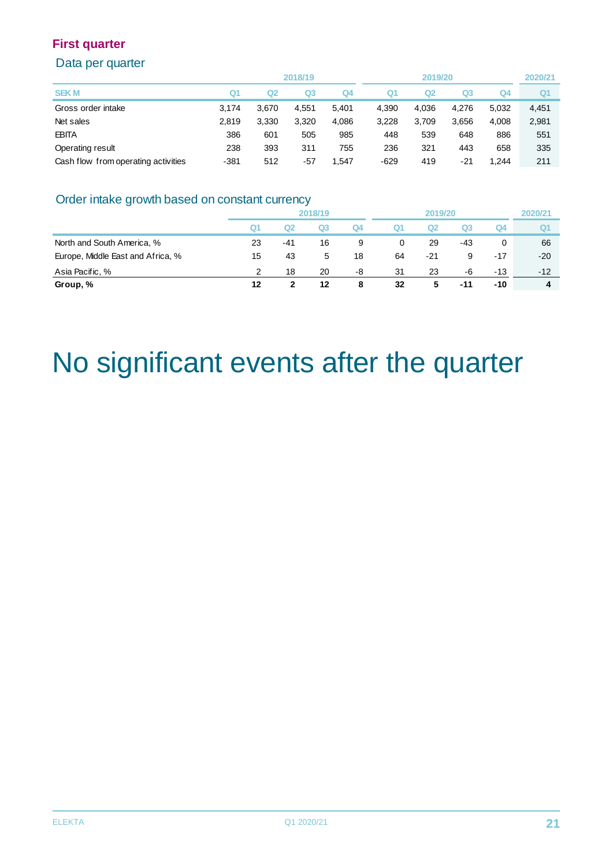#### Data per quarter

|                                     |        |       | 2018/19 |       |        | 2019/20        |       |       | 2020/21        |
|-------------------------------------|--------|-------|---------|-------|--------|----------------|-------|-------|----------------|
| <b>SEKM</b>                         | Q1     | Q2    | Q3      | Q4    | Q1     | Q <sub>2</sub> | Q3    | Q4    | Q <sub>1</sub> |
| Gross order intake                  | 3.174  | 3.670 | 4,551   | 5.401 | 4,390  | 4,036          | 4.276 | 5,032 | 4,451          |
| Net sales                           | 2.819  | 3.330 | 3,320   | 4.086 | 3,228  | 3.709          | 3.656 | 4,008 | 2,981          |
| <b>EBITA</b>                        | 386    | 601   | 505     | 985   | 448    | 539            | 648   | 886   | 551            |
| Operating result                    | 238    | 393   | 311     | 755   | 236    | 321            | 443   | 658   | 335            |
| Cash flow from operating activities | $-381$ | 512   | $-57$   | 1,547 | $-629$ | 419            | -21   | 1.244 | 211            |

#### Order intake growth based on constant currency

|                                   |    | 2018/19 |    |    | 2019/20 |       |     | 2020/21 |       |
|-----------------------------------|----|---------|----|----|---------|-------|-----|---------|-------|
|                                   | Q1 | Ω2      | Q3 | Q4 | Q1      | Q2    | Q3  | Q4      | Q1    |
| North and South America, %        | 23 | $-41$   | 16 | 9  | 0       | 29    | -43 |         | 66    |
| Europe, Middle East and Africa, % | 15 | 43      | 5  | 18 | 64      | $-21$ | 9   | -17     | $-20$ |
| Asia Pacific, %                   | 2  | 18      | 20 | -8 | 31      | 23    | -6  | $-13$   | $-12$ |
| Group, %                          | 12 |         | 12 | 8  | 32      | 5     | -11 | $-10$   | 4     |

## No significant events after the quarter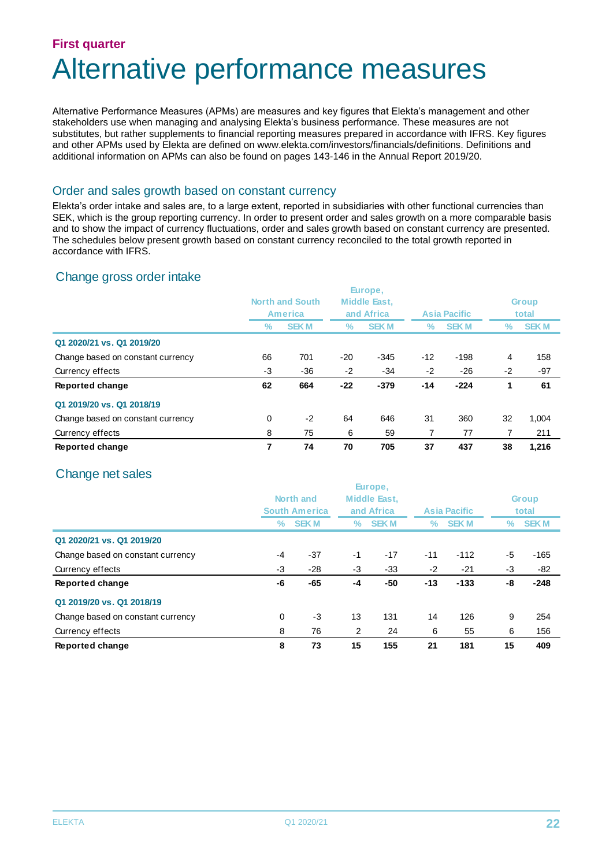### **First quarter** Alternative performance measures

Alternative Performance Measures (APMs) are measures and key figures that Elekta's management and other stakeholders use when managing and analysing Elekta's business performance. These measures are not substitutes, but rather supplements to financial reporting measures prepared in accordance with IFRS. Key figures and other APMs used by Elekta are defined on www.elekta.com/investors/financials/definitions. Definitions and additional information on APMs can also be found on pages 143-146 in the Annual Report 2019/20.

#### Order and sales growth based on constant currency

Elekta's order intake and sales are, to a large extent, reported in subsidiaries with other functional currencies than SEK, which is the group reporting currency. In order to present order and sales growth on a more comparable basis and to show the impact of currency fluctuations, order and sales growth based on constant currency are presented. The schedules below present growth based on constant currency reconciled to the total growth reported in accordance with IFRS.

#### Change gross order intake

|                                   |                        |                |            | Europe,      |       |                     |      |              |  |
|-----------------------------------|------------------------|----------------|------------|--------------|-------|---------------------|------|--------------|--|
|                                   | <b>North and South</b> |                |            | Middle East, |       |                     |      | <b>Group</b> |  |
|                                   |                        | <b>America</b> | and Africa |              |       | <b>Asia Pacific</b> |      | total        |  |
|                                   | ℅                      | <b>SEKM</b>    | ℅          | <b>SEKM</b>  | ℅     | <b>SEKM</b>         | ℅    | <b>SEKM</b>  |  |
| Q1 2020/21 vs. Q1 2019/20         |                        |                |            |              |       |                     |      |              |  |
| Change based on constant currency | 66                     | 701            | $-20$      | $-345$       | $-12$ | $-198$              | 4    | 158          |  |
| Currency effects                  | -3                     | $-36$          | $-2$       | -34          | $-2$  | $-26$               | $-2$ | $-97$        |  |
| Reported change                   | 62                     | 664            | $-22$      | $-379$       | $-14$ | $-224$              |      | 61           |  |
| Q1 2019/20 vs. Q1 2018/19         |                        |                |            |              |       |                     |      |              |  |
| Change based on constant currency | 0                      | $-2$           | 64         | 646          | 31    | 360                 | 32   | 1.004        |  |
| Currency effects                  | 8                      | 75             | 6          | 59           |       | 77                  | 7    | 211          |  |
| Reported change                   |                        | 74             | 70         | 705          | 37    | 437                 | 38   | 1.216        |  |

#### Change net sales

|                                   |           |                      |      | Europe,      |       |                     |      |              |  |
|-----------------------------------|-----------|----------------------|------|--------------|-------|---------------------|------|--------------|--|
|                                   | North and |                      |      | Middle East. |       |                     |      | <b>Group</b> |  |
|                                   |           | <b>South America</b> |      | and Africa   |       | <b>Asia Pacific</b> |      | total        |  |
|                                   | ℅         | <b>SEKM</b>          | %    | <b>SEKM</b>  | %     | <b>SEK M</b>        | ℅    | <b>SEKM</b>  |  |
| Q1 2020/21 vs. Q1 2019/20         |           |                      |      |              |       |                     |      |              |  |
| Change based on constant currency | -4        | $-37$                | $-1$ | $-17$        | $-11$ | $-112$              | $-5$ | $-165$       |  |
| Currency effects                  | -3        | $-28$                | $-3$ | $-33$        | $-2$  | $-21$               | -3   | -82          |  |
| Reported change                   | -6        | $-65$                | -4   | $-50$        | $-13$ | $-133$              | -8   | $-248$       |  |
| Q1 2019/20 vs. Q1 2018/19         |           |                      |      |              |       |                     |      |              |  |
| Change based on constant currency | 0         | -3                   | 13   | 131          | 14    | 126                 | 9    | 254          |  |
| Currency effects                  | 8         | 76                   | 2    | 24           | 6     | 55                  | 6    | 156          |  |
| Reported change                   | 8         | 73                   | 15   | 155          | 21    | 181                 | 15   | 409          |  |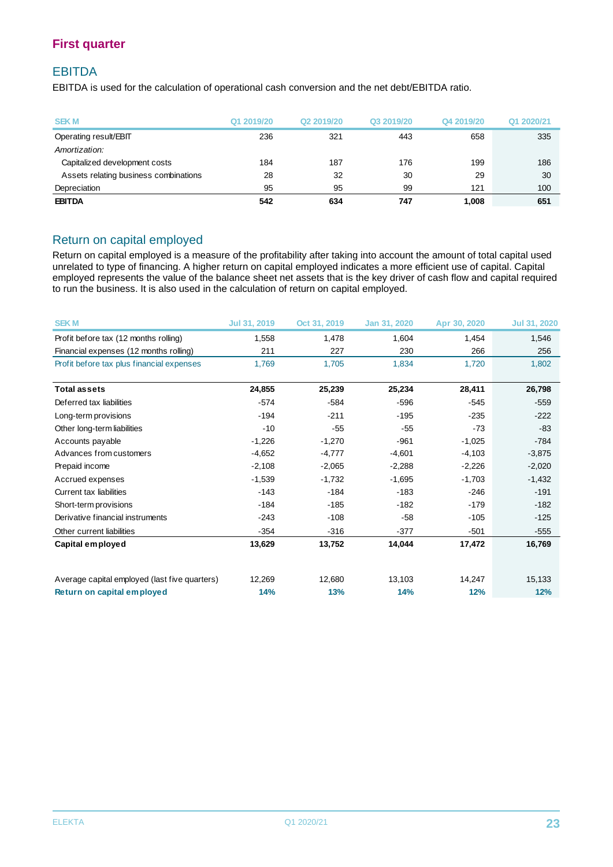#### EBITDA

EBITDA is used for the calculation of operational cash conversion and the net debt/EBITDA ratio.

| <b>SEKM</b>                           | Q1 2019/20 | Q <sub>2</sub> 2019/20 | Q3 2019/20 | Q4 2019/20 | Q1 2020/21 |
|---------------------------------------|------------|------------------------|------------|------------|------------|
| Operating result/EBIT                 | 236        | 321                    | 443        | 658        | 335        |
| Amortization:                         |            |                        |            |            |            |
| Capitalized development costs         | 184        | 187                    | 176        | 199        | 186        |
| Assets relating business combinations | 28         | 32                     | 30         | 29         | 30         |
| Depreciation                          | 95         | 95                     | 99         | 121        | 100        |
| <b>EBITDA</b>                         | 542        | 634                    | 747        | 1.008      | 651        |

#### Return on capital employed

Return on capital employed is a measure of the profitability after taking into account the amount of total capital used unrelated to type of financing. A higher return on capital employed indicates a more efficient use of capital. Capital employed represents the value of the balance sheet net assets that is the key driver of cash flow and capital required to run the business. It is also used in the calculation of return on capital employed.

| <b>SEKM</b>                                   | Jul 31, 2019 | Oct 31, 2019 | Jan 31, 2020 | Apr 30, 2020 | <b>Jul 31, 2020</b> |
|-----------------------------------------------|--------------|--------------|--------------|--------------|---------------------|
| Profit before tax (12 months rolling)         | 1,558        | 1,478        | 1,604        | 1,454        | 1,546               |
| Financial expenses (12 months rolling)        | 211          | 227          | 230          | 266          | 256                 |
| Profit before tax plus financial expenses     | 1.769        | 1,705        | 1.834        | 1.720        | 1,802               |
| <b>Total assets</b>                           |              |              |              |              |                     |
|                                               | 24,855       | 25,239       | 25,234       | 28,411       | 26,798              |
| Deferred tax liabilities                      | $-574$       | $-584$       | $-596$       | $-545$       | $-559$              |
| Long-term provisions                          | $-194$       | $-211$       | $-195$       | $-235$       | $-222$              |
| Other long-term liabilities                   | $-10$        | $-55$        | $-55$        | $-73$        | $-83$               |
| Accounts payable                              | $-1,226$     | $-1,270$     | $-961$       | $-1,025$     | $-784$              |
| Advances from customers                       | $-4,652$     | $-4,777$     | $-4,601$     | $-4,103$     | $-3,875$            |
| Prepaid income                                | $-2,108$     | $-2,065$     | $-2,288$     | $-2,226$     | $-2,020$            |
| Accrued expenses                              | $-1,539$     | $-1,732$     | $-1,695$     | $-1,703$     | $-1,432$            |
| Current tax liabilities                       | $-143$       | $-184$       | $-183$       | $-246$       | $-191$              |
| Short-term provisions                         | $-184$       | $-185$       | $-182$       | $-179$       | $-182$              |
| Derivative financial instruments              | $-243$       | $-108$       | $-58$        | $-105$       | $-125$              |
| Other current liabilities                     | $-354$       | $-316$       | $-377$       | $-501$       | $-555$              |
| Capital employed                              | 13,629       | 13,752       | 14,044       | 17,472       | 16,769              |
|                                               |              |              |              |              |                     |
| Average capital employed (last five quarters) | 12,269       | 12,680       | 13,103       | 14,247       | 15,133              |
| Return on capital employed                    | 14%          | 13%          | 14%          | 12%          | 12%                 |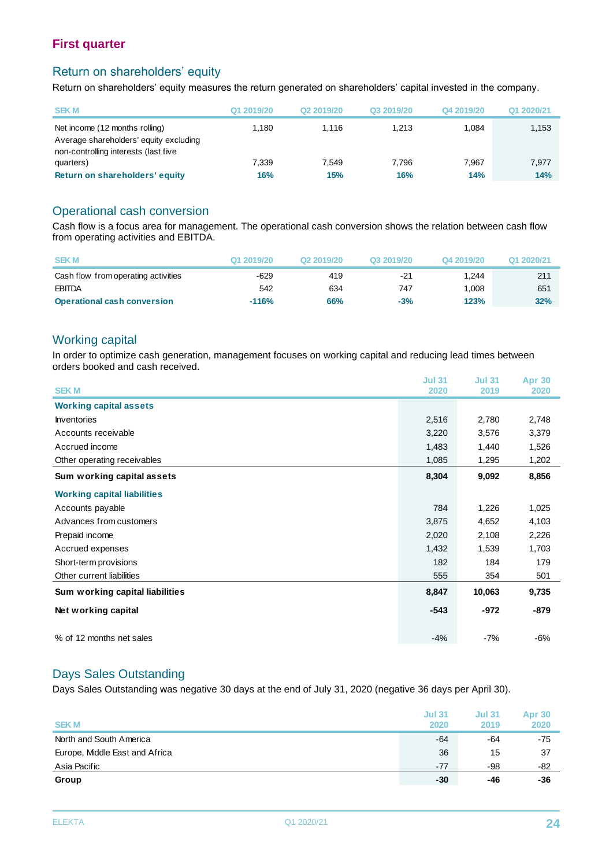#### Return on shareholders' equity

Return on shareholders' equity measures the return generated on shareholders' capital invested in the company.

| <b>SEKM</b>                                                                                                      | Q1 2019/20 | Q <sub>2</sub> 2019/20 | Q3 2019/20 | Q4 2019/20 | Q1 2020/21 |
|------------------------------------------------------------------------------------------------------------------|------------|------------------------|------------|------------|------------|
| Net income (12 months rolling)<br>Average shareholders' equity excluding<br>non-controlling interests (last five | 1.180      | 1.116                  | 1.213      | 1.084      | 1.153      |
| quarters)                                                                                                        | 7.339      | 7.549                  | 7.796      | 7.967      | 7.977      |
| Return on shareholders' equity                                                                                   | 16%        | 15%                    | 16%        | 14%        | 14%        |

#### Operational cash conversion

Cash flow is a focus area for management. The operational cash conversion shows the relation between cash flow from operating activities and EBITDA.

| from operating activities and EBITDA. |            |            |            |            |            |
|---------------------------------------|------------|------------|------------|------------|------------|
| <b>SEKM</b>                           | Q1 2019/20 | Q2 2019/20 | Q3 2019/20 | Q4 2019/20 | Q1 2020/21 |
| Cash flow from operating activities   | $-629$     | 419        | $-21$      | 1.244      | 211        |
| <b>EBITDA</b>                         | 542        | 634        | 747        | 1.008      | 651        |
| <b>Operational cash conversion</b>    | $-116%$    | 66%        | $-3%$      | 123%       | 32%        |

#### Working capital

In order to optimize cash generation, management focuses on working capital and reducing lead times between orders booked and cash received.

| <b>SEKM</b>                        | <b>Jul 31</b><br>2020 | <b>Jul 31</b><br>2019 | <b>Apr 30</b><br>2020 |
|------------------------------------|-----------------------|-----------------------|-----------------------|
|                                    |                       |                       |                       |
| <b>Working capital assets</b>      |                       |                       |                       |
| <b>Inventories</b>                 | 2,516                 | 2,780                 | 2,748                 |
| Accounts receivable                | 3,220                 | 3,576                 | 3,379                 |
| Accrued income                     | 1,483                 | 1,440                 | 1,526                 |
| Other operating receivables        | 1,085                 | 1,295                 | 1,202                 |
| Sum working capital assets         | 8,304                 | 9,092                 | 8,856                 |
| <b>Working capital liabilities</b> |                       |                       |                       |
| Accounts payable                   | 784                   | 1,226                 | 1,025                 |
| Advances from customers            | 3,875                 | 4,652                 | 4,103                 |
| Prepaid income                     | 2,020                 | 2,108                 | 2,226                 |
| Accrued expenses                   | 1,432                 | 1,539                 | 1,703                 |
| Short-term provisions              | 182                   | 184                   | 179                   |
| Other current liabilities          | 555                   | 354                   | 501                   |
| Sum working capital liabilities    | 8,847                 | 10,063                | 9,735                 |
| Net working capital                | $-543$                | $-972$                | -879                  |
| % of 12 months net sales           | $-4%$                 | $-7%$                 | $-6%$                 |

#### Days Sales Outstanding

Days Sales Outstanding was negative 30 days at the end of July 31, 2020 (negative 36 days per April 30).

| <b>SEKM</b>                    | <b>Jul 31</b><br>2020 | <b>Jul 31</b><br>2019 | <b>Apr 30</b><br>2020 |
|--------------------------------|-----------------------|-----------------------|-----------------------|
| North and South America        | $-64$                 | -64                   | -75                   |
| Europe, Middle East and Africa | 36                    | 15                    | 37                    |
| Asia Pacific                   | $-77$                 | -98                   | -82                   |
| Group                          | $-30$                 | -46                   | -36                   |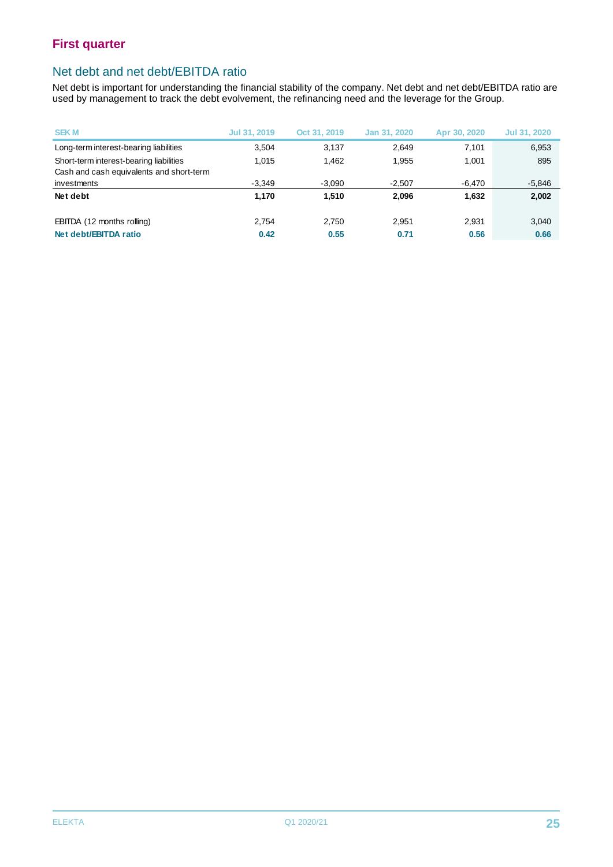#### Net debt and net debt/EBITDA ratio

Net debt is important for understanding the financial stability of the company. Net debt and net debt/EBITDA ratio are used by management to track the debt evolvement, the refinancing need and the leverage for the Group.

| <b>SEKM</b>                              | Jul 31, 2019 | Oct 31, 2019 | Jan 31, 2020 | Apr 30, 2020 | Jul 31, 2020 |
|------------------------------------------|--------------|--------------|--------------|--------------|--------------|
| Long-term interest-bearing liabilities   | 3.504        | 3.137        | 2,649        | 7.101        | 6,953        |
| Short-term interest-bearing liabilities  | 1.015        | 1.462        | 1.955        | 1,001        | 895          |
| Cash and cash equivalents and short-term |              |              |              |              |              |
| investments                              | $-3.349$     | $-3,090$     | $-2,507$     | $-6,470$     | $-5,846$     |
| Net debt                                 | 1.170        | 1.510        | 2.096        | 1,632        | 2,002        |
|                                          | 2.754        |              |              |              |              |
| EBITDA (12 months rolling)               |              | 2.750        | 2.951        | 2.931        | 3,040        |
| Net debt/EBITDA ratio                    | 0.42         | 0.55         | 0.71         | 0.56         | 0.66         |